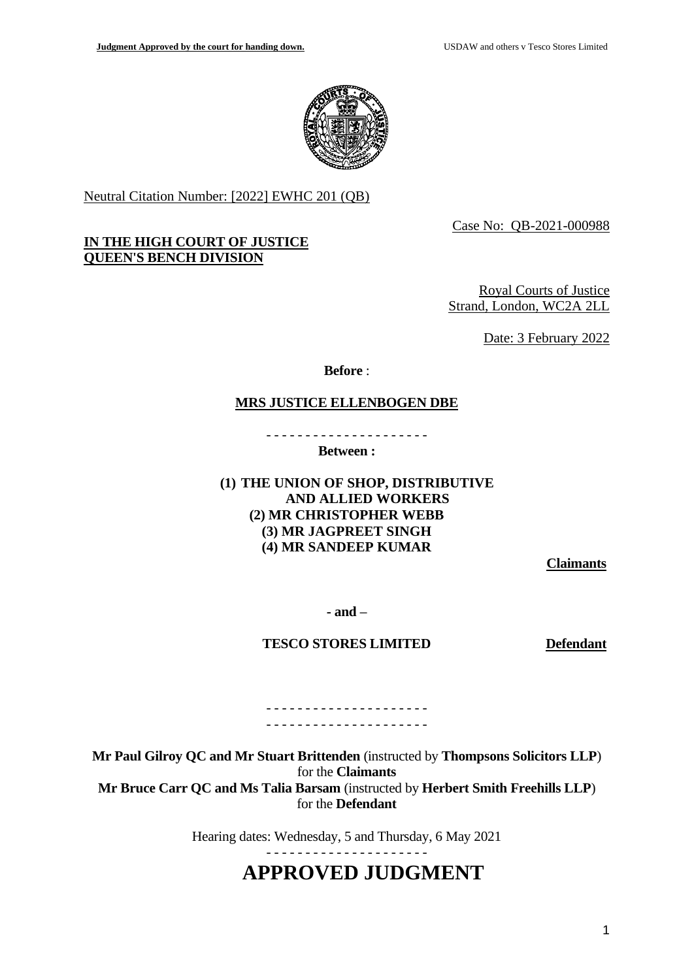

Neutral Citation Number: [2022] EWHC 201 (QB)

# **IN THE HIGH COURT OF JUSTICE QUEEN'S BENCH DIVISION**

Case No: QB-2021-000988

Royal Courts of Justice Strand, London, WC2A 2LL

Date: 3 February 2022

**Before** :

# **MRS JUSTICE ELLENBOGEN DBE**

- - - - - - - - - - - - - - - - - - - - - **Between :**

# **(1) THE UNION OF SHOP, DISTRIBUTIVE AND ALLIED WORKERS (2) MR CHRISTOPHER WEBB (3) MR JAGPREET SINGH (4) MR SANDEEP KUMAR**

**Claimants**

**- and –**

**TESCO STORES LIMITED Defendant**

- - - - - - - - - - - - - - - - - - - - - - - - - - - - - - - - - - - - - - - - - -

**Mr Paul Gilroy QC and Mr Stuart Brittenden** (instructed by **Thompsons Solicitors LLP**) for the **Claimants Mr Bruce Carr QC and Ms Talia Barsam** (instructed by **Herbert Smith Freehills LLP**) for the **Defendant** 

Hearing dates: Wednesday, 5 and Thursday, 6 May 2021

# **APPROVED JUDGMENT**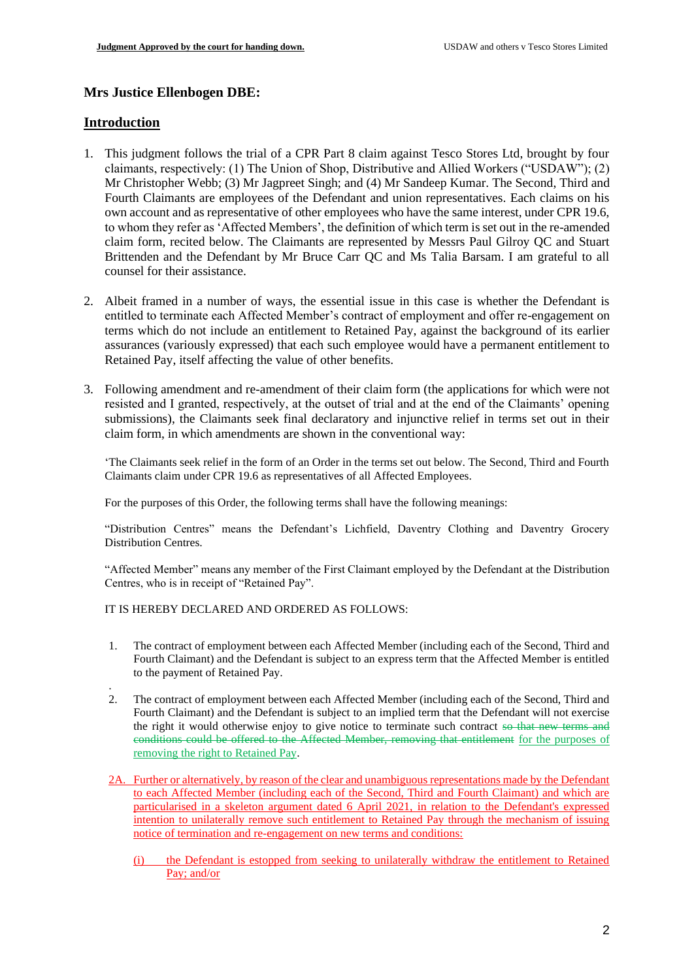# **Mrs Justice Ellenbogen DBE:**

# **Introduction**

.

- 1. This judgment follows the trial of a CPR Part 8 claim against Tesco Stores Ltd, brought by four claimants, respectively: (1) The Union of Shop, Distributive and Allied Workers ("USDAW"); (2) Mr Christopher Webb; (3) Mr Jagpreet Singh; and (4) Mr Sandeep Kumar. The Second, Third and Fourth Claimants are employees of the Defendant and union representatives. Each claims on his own account and as representative of other employees who have the same interest, under CPR 19.6, to whom they refer as 'Affected Members', the definition of which term is set out in the re-amended claim form, recited below. The Claimants are represented by Messrs Paul Gilroy QC and Stuart Brittenden and the Defendant by Mr Bruce Carr QC and Ms Talia Barsam. I am grateful to all counsel for their assistance.
- 2. Albeit framed in a number of ways, the essential issue in this case is whether the Defendant is entitled to terminate each Affected Member's contract of employment and offer re-engagement on terms which do not include an entitlement to Retained Pay, against the background of its earlier assurances (variously expressed) that each such employee would have a permanent entitlement to Retained Pay, itself affecting the value of other benefits.
- 3. Following amendment and re-amendment of their claim form (the applications for which were not resisted and I granted, respectively, at the outset of trial and at the end of the Claimants' opening submissions), the Claimants seek final declaratory and injunctive relief in terms set out in their claim form, in which amendments are shown in the conventional way:

'The Claimants seek relief in the form of an Order in the terms set out below. The Second, Third and Fourth Claimants claim under CPR 19.6 as representatives of all Affected Employees.

For the purposes of this Order, the following terms shall have the following meanings:

"Distribution Centres" means the Defendant's Lichfield, Daventry Clothing and Daventry Grocery Distribution Centres.

"Affected Member" means any member of the First Claimant employed by the Defendant at the Distribution Centres, who is in receipt of "Retained Pay".

IT IS HEREBY DECLARED AND ORDERED AS FOLLOWS:

- 1. The contract of employment between each Affected Member (including each of the Second, Third and Fourth Claimant) and the Defendant is subject to an express term that the Affected Member is entitled to the payment of Retained Pay.
- 2. The contract of employment between each Affected Member (including each of the Second, Third and Fourth Claimant) and the Defendant is subject to an implied term that the Defendant will not exercise the right it would otherwise enjoy to give notice to terminate such contract so that new terms and conditions could be offered to the Affected Member, removing that entitlement for the purposes of removing the right to Retained Pay.
- 2A. Further or alternatively, by reason of the clear and unambiguous representations made by the Defendant to each Affected Member (including each of the Second, Third and Fourth Claimant) and which are particularised in a skeleton argument dated 6 April 2021, in relation to the Defendant's expressed intention to unilaterally remove such entitlement to Retained Pay through the mechanism of issuing notice of termination and re-engagement on new terms and conditions:
	- (i) the Defendant is estopped from seeking to unilaterally withdraw the entitlement to Retained Pay; and/or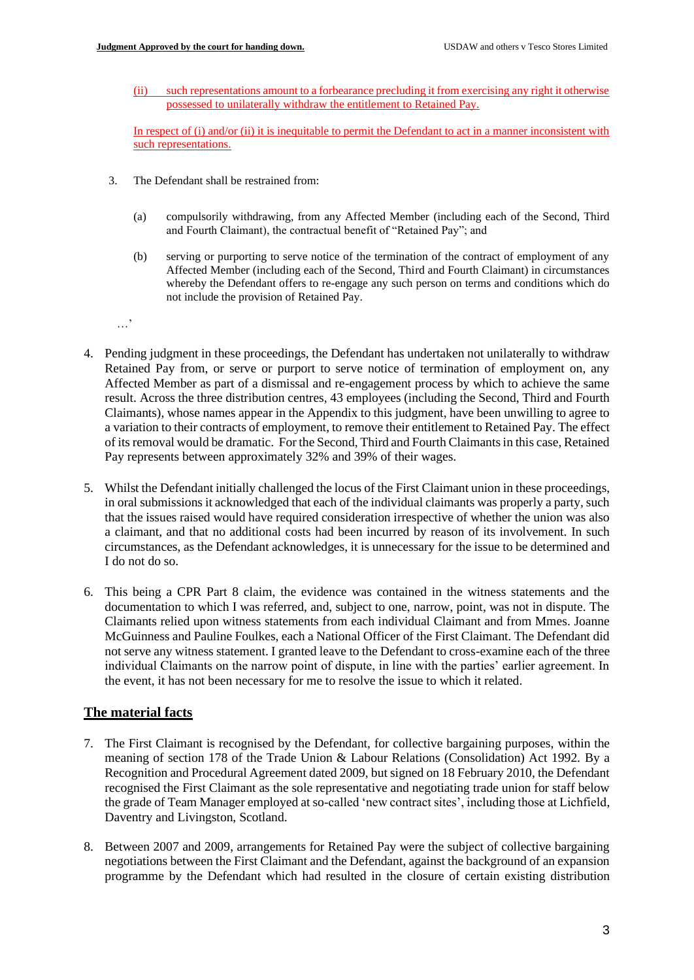**Judgment Approved by the court for handing down.** USDAW and others v Tesco Stores Limited

(ii) such representations amount to a forbearance precluding it from exercising any right it otherwise possessed to unilaterally withdraw the entitlement to Retained Pay.

In respect of (i) and/or (ii) it is inequitable to permit the Defendant to act in a manner inconsistent with such representations.

- 3. The Defendant shall be restrained from:
	- (a) compulsorily withdrawing, from any Affected Member (including each of the Second, Third and Fourth Claimant), the contractual benefit of "Retained Pay"; and
	- (b) serving or purporting to serve notice of the termination of the contract of employment of any Affected Member (including each of the Second, Third and Fourth Claimant) in circumstances whereby the Defendant offers to re-engage any such person on terms and conditions which do not include the provision of Retained Pay.

…'

- 4. Pending judgment in these proceedings, the Defendant has undertaken not unilaterally to withdraw Retained Pay from, or serve or purport to serve notice of termination of employment on, any Affected Member as part of a dismissal and re-engagement process by which to achieve the same result. Across the three distribution centres, 43 employees (including the Second, Third and Fourth Claimants), whose names appear in the Appendix to this judgment, have been unwilling to agree to a variation to their contracts of employment, to remove their entitlement to Retained Pay. The effect of its removal would be dramatic. For the Second, Third and Fourth Claimants in this case, Retained Pay represents between approximately 32% and 39% of their wages.
- 5. Whilst the Defendant initially challenged the locus of the First Claimant union in these proceedings, in oral submissions it acknowledged that each of the individual claimants was properly a party, such that the issues raised would have required consideration irrespective of whether the union was also a claimant, and that no additional costs had been incurred by reason of its involvement. In such circumstances, as the Defendant acknowledges, it is unnecessary for the issue to be determined and I do not do so.
- 6. This being a CPR Part 8 claim, the evidence was contained in the witness statements and the documentation to which I was referred, and, subject to one, narrow, point, was not in dispute. The Claimants relied upon witness statements from each individual Claimant and from Mmes. Joanne McGuinness and Pauline Foulkes, each a National Officer of the First Claimant. The Defendant did not serve any witness statement. I granted leave to the Defendant to cross-examine each of the three individual Claimants on the narrow point of dispute, in line with the parties' earlier agreement. In the event, it has not been necessary for me to resolve the issue to which it related.

# **The material facts**

- 7. The First Claimant is recognised by the Defendant, for collective bargaining purposes, within the meaning of section 178 of the Trade Union & Labour Relations (Consolidation) Act 1992. By a Recognition and Procedural Agreement dated 2009, but signed on 18 February 2010, the Defendant recognised the First Claimant as the sole representative and negotiating trade union for staff below the grade of Team Manager employed at so-called 'new contract sites', including those at Lichfield, Daventry and Livingston, Scotland.
- 8. Between 2007 and 2009, arrangements for Retained Pay were the subject of collective bargaining negotiations between the First Claimant and the Defendant, against the background of an expansion programme by the Defendant which had resulted in the closure of certain existing distribution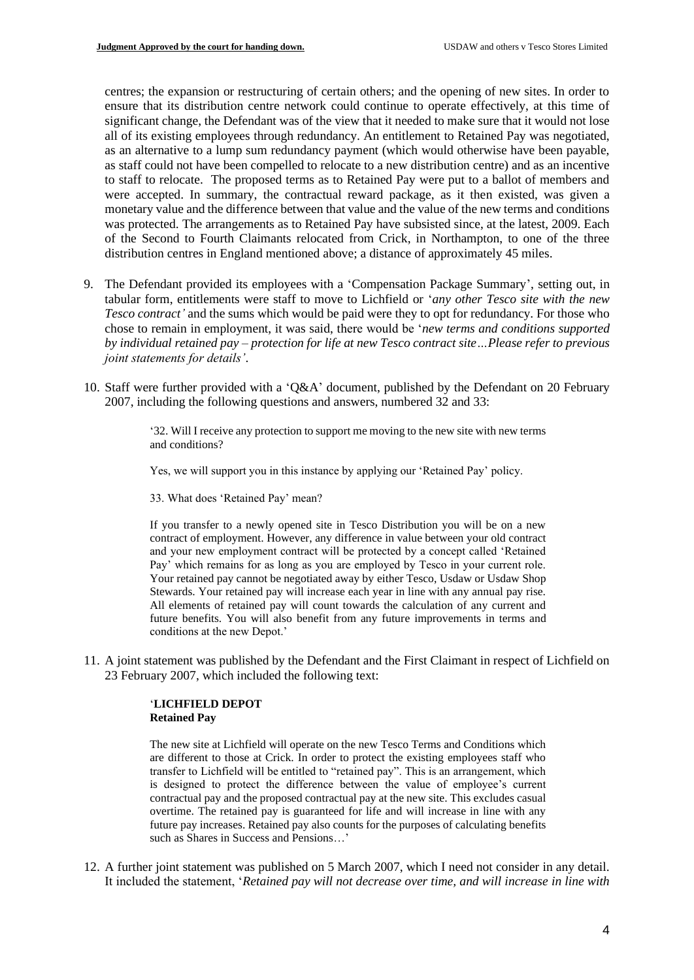centres; the expansion or restructuring of certain others; and the opening of new sites. In order to ensure that its distribution centre network could continue to operate effectively, at this time of significant change, the Defendant was of the view that it needed to make sure that it would not lose all of its existing employees through redundancy. An entitlement to Retained Pay was negotiated, as an alternative to a lump sum redundancy payment (which would otherwise have been payable, as staff could not have been compelled to relocate to a new distribution centre) and as an incentive to staff to relocate. The proposed terms as to Retained Pay were put to a ballot of members and were accepted. In summary, the contractual reward package, as it then existed, was given a monetary value and the difference between that value and the value of the new terms and conditions was protected. The arrangements as to Retained Pay have subsisted since, at the latest, 2009. Each of the Second to Fourth Claimants relocated from Crick, in Northampton, to one of the three distribution centres in England mentioned above; a distance of approximately 45 miles.

- 9. The Defendant provided its employees with a 'Compensation Package Summary', setting out, in tabular form, entitlements were staff to move to Lichfield or '*any other Tesco site with the new Tesco contract'* and the sums which would be paid were they to opt for redundancy. For those who chose to remain in employment, it was said, there would be '*new terms and conditions supported by individual retained pay – protection for life at new Tesco contract site…Please refer to previous joint statements for details'*.
- 10. Staff were further provided with a 'Q&A' document, published by the Defendant on 20 February 2007, including the following questions and answers, numbered 32 and 33:

'32. Will I receive any protection to support me moving to the new site with new terms and conditions?

Yes, we will support you in this instance by applying our 'Retained Pay' policy.

33. What does 'Retained Pay' mean?

If you transfer to a newly opened site in Tesco Distribution you will be on a new contract of employment. However, any difference in value between your old contract and your new employment contract will be protected by a concept called 'Retained Pay' which remains for as long as you are employed by Tesco in your current role. Your retained pay cannot be negotiated away by either Tesco, Usdaw or Usdaw Shop Stewards. Your retained pay will increase each year in line with any annual pay rise. All elements of retained pay will count towards the calculation of any current and future benefits. You will also benefit from any future improvements in terms and conditions at the new Depot.'

11. A joint statement was published by the Defendant and the First Claimant in respect of Lichfield on 23 February 2007, which included the following text:

## '**LICHFIELD DEPOT Retained Pay**

The new site at Lichfield will operate on the new Tesco Terms and Conditions which are different to those at Crick. In order to protect the existing employees staff who transfer to Lichfield will be entitled to "retained pay". This is an arrangement, which is designed to protect the difference between the value of employee's current contractual pay and the proposed contractual pay at the new site. This excludes casual overtime. The retained pay is guaranteed for life and will increase in line with any future pay increases. Retained pay also counts for the purposes of calculating benefits such as Shares in Success and Pensions…'

12. A further joint statement was published on 5 March 2007, which I need not consider in any detail. It included the statement, '*Retained pay will not decrease over time, and will increase in line with*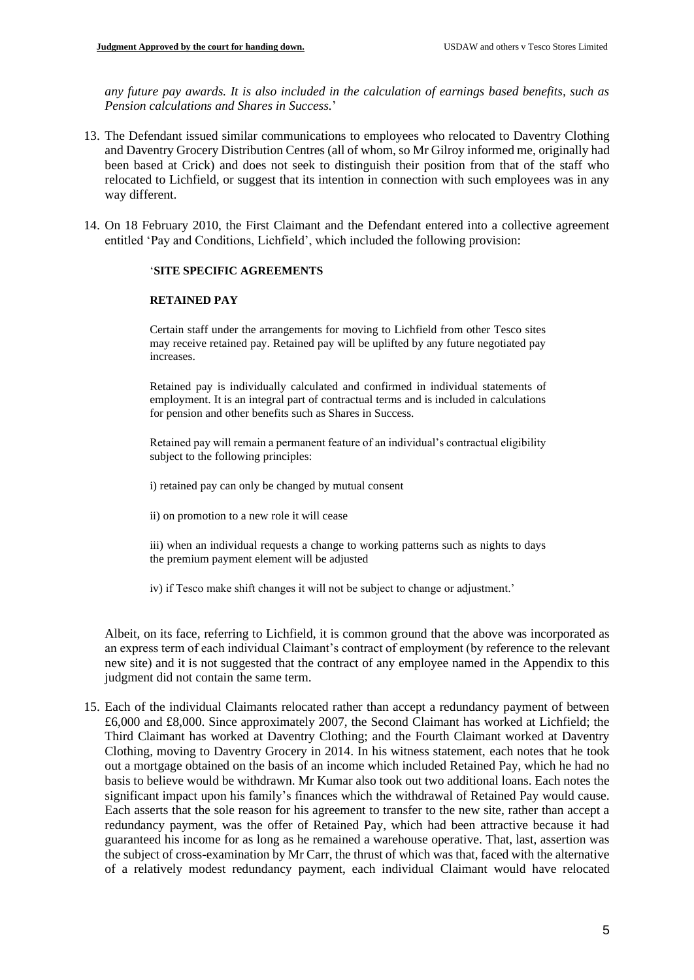*any future pay awards. It is also included in the calculation of earnings based benefits, such as Pension calculations and Shares in Success.*'

- 13. The Defendant issued similar communications to employees who relocated to Daventry Clothing and Daventry Grocery Distribution Centres (all of whom, so Mr Gilroy informed me, originally had been based at Crick) and does not seek to distinguish their position from that of the staff who relocated to Lichfield, or suggest that its intention in connection with such employees was in any way different.
- 14. On 18 February 2010, the First Claimant and the Defendant entered into a collective agreement entitled 'Pay and Conditions, Lichfield', which included the following provision:

## '**SITE SPECIFIC AGREEMENTS**

## **RETAINED PAY**

Certain staff under the arrangements for moving to Lichfield from other Tesco sites may receive retained pay. Retained pay will be uplifted by any future negotiated pay increases.

Retained pay is individually calculated and confirmed in individual statements of employment. It is an integral part of contractual terms and is included in calculations for pension and other benefits such as Shares in Success.

Retained pay will remain a permanent feature of an individual's contractual eligibility subject to the following principles:

i) retained pay can only be changed by mutual consent

ii) on promotion to a new role it will cease

iii) when an individual requests a change to working patterns such as nights to days the premium payment element will be adjusted

iv) if Tesco make shift changes it will not be subject to change or adjustment.'

Albeit, on its face, referring to Lichfield, it is common ground that the above was incorporated as an express term of each individual Claimant's contract of employment (by reference to the relevant new site) and it is not suggested that the contract of any employee named in the Appendix to this judgment did not contain the same term.

15. Each of the individual Claimants relocated rather than accept a redundancy payment of between £6,000 and £8,000. Since approximately 2007, the Second Claimant has worked at Lichfield; the Third Claimant has worked at Daventry Clothing; and the Fourth Claimant worked at Daventry Clothing, moving to Daventry Grocery in 2014. In his witness statement, each notes that he took out a mortgage obtained on the basis of an income which included Retained Pay, which he had no basis to believe would be withdrawn. Mr Kumar also took out two additional loans. Each notes the significant impact upon his family's finances which the withdrawal of Retained Pay would cause. Each asserts that the sole reason for his agreement to transfer to the new site, rather than accept a redundancy payment, was the offer of Retained Pay, which had been attractive because it had guaranteed his income for as long as he remained a warehouse operative. That, last, assertion was the subject of cross-examination by Mr Carr, the thrust of which was that, faced with the alternative of a relatively modest redundancy payment, each individual Claimant would have relocated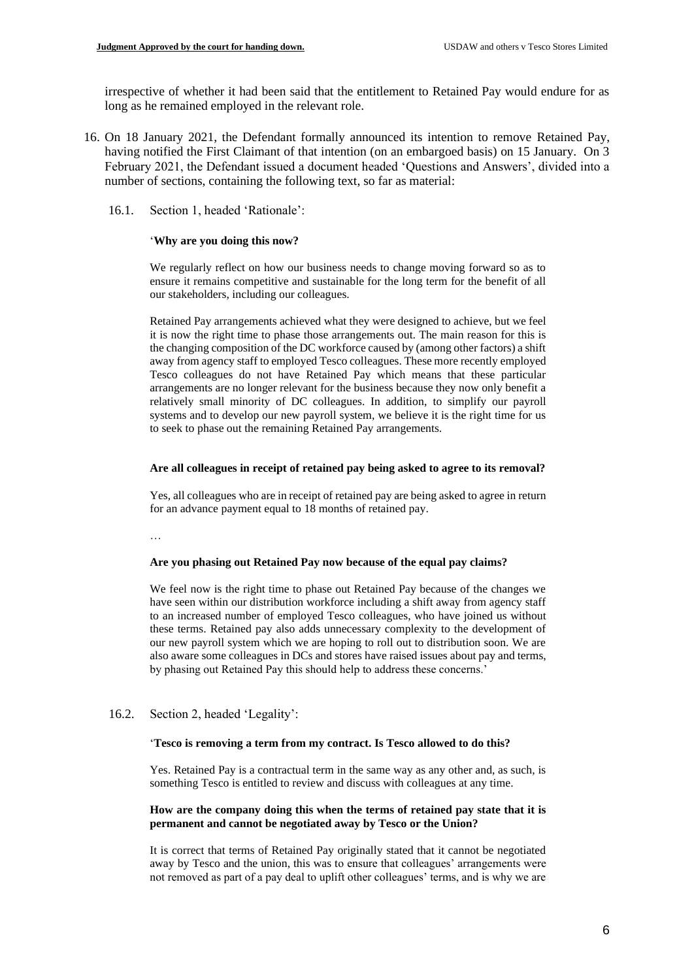irrespective of whether it had been said that the entitlement to Retained Pay would endure for as long as he remained employed in the relevant role.

- 16. On 18 January 2021, the Defendant formally announced its intention to remove Retained Pay, having notified the First Claimant of that intention (on an embargoed basis) on 15 January. On 3 February 2021, the Defendant issued a document headed 'Questions and Answers', divided into a number of sections, containing the following text, so far as material:
	- 16.1. Section 1, headed 'Rationale':

#### '**Why are you doing this now?**

We regularly reflect on how our business needs to change moving forward so as to ensure it remains competitive and sustainable for the long term for the benefit of all our stakeholders, including our colleagues.

Retained Pay arrangements achieved what they were designed to achieve, but we feel it is now the right time to phase those arrangements out. The main reason for this is the changing composition of the DC workforce caused by (among other factors) a shift away from agency staff to employed Tesco colleagues. These more recently employed Tesco colleagues do not have Retained Pay which means that these particular arrangements are no longer relevant for the business because they now only benefit a relatively small minority of DC colleagues. In addition, to simplify our payroll systems and to develop our new payroll system, we believe it is the right time for us to seek to phase out the remaining Retained Pay arrangements.

#### **Are all colleagues in receipt of retained pay being asked to agree to its removal?**

Yes, all colleagues who are in receipt of retained pay are being asked to agree in return for an advance payment equal to 18 months of retained pay.

…

#### **Are you phasing out Retained Pay now because of the equal pay claims?**

We feel now is the right time to phase out Retained Pay because of the changes we have seen within our distribution workforce including a shift away from agency staff to an increased number of employed Tesco colleagues, who have joined us without these terms. Retained pay also adds unnecessary complexity to the development of our new payroll system which we are hoping to roll out to distribution soon. We are also aware some colleagues in DCs and stores have raised issues about pay and terms, by phasing out Retained Pay this should help to address these concerns.'

## 16.2. Section 2, headed 'Legality':

#### '**Tesco is removing a term from my contract. Is Tesco allowed to do this?**

Yes. Retained Pay is a contractual term in the same way as any other and, as such, is something Tesco is entitled to review and discuss with colleagues at any time.

#### **How are the company doing this when the terms of retained pay state that it is permanent and cannot be negotiated away by Tesco or the Union?**

It is correct that terms of Retained Pay originally stated that it cannot be negotiated away by Tesco and the union, this was to ensure that colleagues' arrangements were not removed as part of a pay deal to uplift other colleagues' terms, and is why we are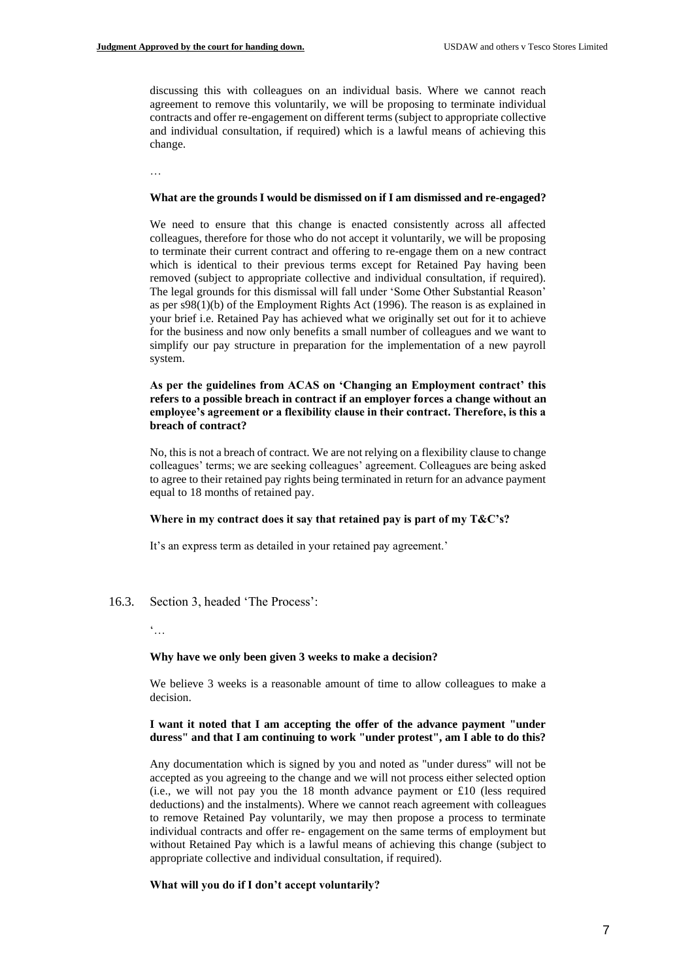discussing this with colleagues on an individual basis. Where we cannot reach agreement to remove this voluntarily, we will be proposing to terminate individual contracts and offer re-engagement on different terms (subject to appropriate collective and individual consultation, if required) which is a lawful means of achieving this change.

…

#### **What are the grounds I would be dismissed on if I am dismissed and re-engaged?**

We need to ensure that this change is enacted consistently across all affected colleagues, therefore for those who do not accept it voluntarily, we will be proposing to terminate their current contract and offering to re-engage them on a new contract which is identical to their previous terms except for Retained Pay having been removed (subject to appropriate collective and individual consultation, if required). The legal grounds for this dismissal will fall under 'Some Other Substantial Reason' as per s98(1)(b) of the Employment Rights Act (1996). The reason is as explained in your brief i.e. Retained Pay has achieved what we originally set out for it to achieve for the business and now only benefits a small number of colleagues and we want to simplify our pay structure in preparation for the implementation of a new payroll system.

**As per the guidelines from ACAS on 'Changing an Employment contract' this refers to a possible breach in contract if an employer forces a change without an employee's agreement or a flexibility clause in their contract. Therefore, is this a breach of contract?** 

No, this is not a breach of contract. We are not relying on a flexibility clause to change colleagues' terms; we are seeking colleagues' agreement. Colleagues are being asked to agree to their retained pay rights being terminated in return for an advance payment equal to 18 months of retained pay.

#### **Where in my contract does it say that retained pay is part of my T&C's?**

It's an express term as detailed in your retained pay agreement.'

- 16.3. Section 3, headed 'The Process':
	- $\dddot{\bullet}$ ...

#### **Why have we only been given 3 weeks to make a decision?**

We believe 3 weeks is a reasonable amount of time to allow colleagues to make a decision.

#### **I want it noted that I am accepting the offer of the advance payment "under duress" and that I am continuing to work "under protest", am I able to do this?**

Any documentation which is signed by you and noted as "under duress" will not be accepted as you agreeing to the change and we will not process either selected option (i.e., we will not pay you the 18 month advance payment or £10 (less required deductions) and the instalments). Where we cannot reach agreement with colleagues to remove Retained Pay voluntarily, we may then propose a process to terminate individual contracts and offer re- engagement on the same terms of employment but without Retained Pay which is a lawful means of achieving this change (subject to appropriate collective and individual consultation, if required).

#### **What will you do if I don't accept voluntarily?**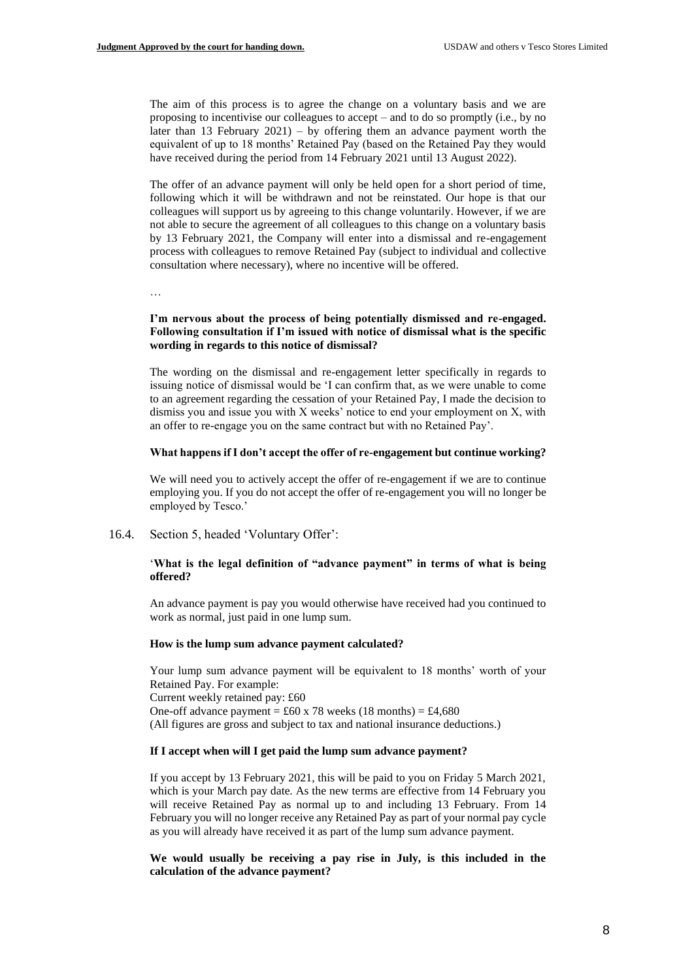The aim of this process is to agree the change on a voluntary basis and we are proposing to incentivise our colleagues to accept – and to do so promptly (i.e., by no later than 13 February 2021) – by offering them an advance payment worth the equivalent of up to 18 months' Retained Pay (based on the Retained Pay they would have received during the period from 14 February 2021 until 13 August 2022).

The offer of an advance payment will only be held open for a short period of time, following which it will be withdrawn and not be reinstated. Our hope is that our colleagues will support us by agreeing to this change voluntarily. However, if we are not able to secure the agreement of all colleagues to this change on a voluntary basis by 13 February 2021, the Company will enter into a dismissal and re-engagement process with colleagues to remove Retained Pay (subject to individual and collective consultation where necessary), where no incentive will be offered.

…

#### **I'm nervous about the process of being potentially dismissed and re-engaged. Following consultation if I'm issued with notice of dismissal what is the specific wording in regards to this notice of dismissal?**

The wording on the dismissal and re-engagement letter specifically in regards to issuing notice of dismissal would be 'I can confirm that, as we were unable to come to an agreement regarding the cessation of your Retained Pay, I made the decision to dismiss you and issue you with X weeks' notice to end your employment on X, with an offer to re-engage you on the same contract but with no Retained Pay'.

#### **What happens if I don't accept the offer of re-engagement but continue working?**

We will need you to actively accept the offer of re-engagement if we are to continue employing you. If you do not accept the offer of re-engagement you will no longer be employed by Tesco.'

16.4. Section 5, headed 'Voluntary Offer':

#### '**What is the legal definition of "advance payment" in terms of what is being offered?**

An advance payment is pay you would otherwise have received had you continued to work as normal, just paid in one lump sum.

#### **How is the lump sum advance payment calculated?**

Your lump sum advance payment will be equivalent to 18 months' worth of your Retained Pay. For example: Current weekly retained pay: £60 One-off advance payment =  $\text{\pounds}60 \times 78$  weeks (18 months) =  $\text{\pounds}4,680$ (All figures are gross and subject to tax and national insurance deductions.)

#### **If I accept when will I get paid the lump sum advance payment?**

If you accept by 13 February 2021, this will be paid to you on Friday 5 March 2021, which is your March pay date. As the new terms are effective from 14 February you will receive Retained Pay as normal up to and including 13 February. From 14 February you will no longer receive any Retained Pay as part of your normal pay cycle as you will already have received it as part of the lump sum advance payment.

**We would usually be receiving a pay rise in July, is this included in the calculation of the advance payment?**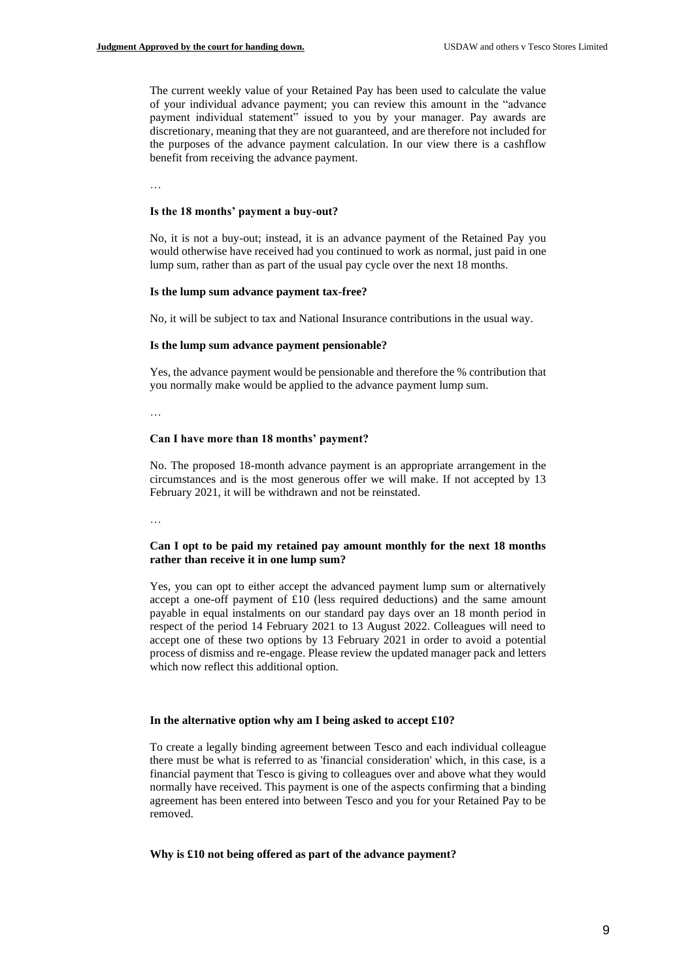The current weekly value of your Retained Pay has been used to calculate the value of your individual advance payment; you can review this amount in the "advance payment individual statement" issued to you by your manager. Pay awards are discretionary, meaning that they are not guaranteed, and are therefore not included for the purposes of the advance payment calculation. In our view there is a cashflow benefit from receiving the advance payment.

…

#### **Is the 18 months' payment a buy-out?**

No, it is not a buy-out; instead, it is an advance payment of the Retained Pay you would otherwise have received had you continued to work as normal, just paid in one lump sum, rather than as part of the usual pay cycle over the next 18 months.

#### **Is the lump sum advance payment tax-free?**

No, it will be subject to tax and National Insurance contributions in the usual way.

#### **Is the lump sum advance payment pensionable?**

Yes, the advance payment would be pensionable and therefore the % contribution that you normally make would be applied to the advance payment lump sum.

…

## **Can I have more than 18 months' payment?**

No. The proposed 18-month advance payment is an appropriate arrangement in the circumstances and is the most generous offer we will make. If not accepted by 13 February 2021, it will be withdrawn and not be reinstated.

…

#### **Can I opt to be paid my retained pay amount monthly for the next 18 months rather than receive it in one lump sum?**

Yes, you can opt to either accept the advanced payment lump sum or alternatively accept a one-off payment of £10 (less required deductions) and the same amount payable in equal instalments on our standard pay days over an 18 month period in respect of the period 14 February 2021 to 13 August 2022. Colleagues will need to accept one of these two options by 13 February 2021 in order to avoid a potential process of dismiss and re-engage. Please review the updated manager pack and letters which now reflect this additional option.

#### **In the alternative option why am I being asked to accept £10?**

To create a legally binding agreement between Tesco and each individual colleague there must be what is referred to as 'financial consideration' which, in this case, is a financial payment that Tesco is giving to colleagues over and above what they would normally have received. This payment is one of the aspects confirming that a binding agreement has been entered into between Tesco and you for your Retained Pay to be removed.

#### **Why is £10 not being offered as part of the advance payment?**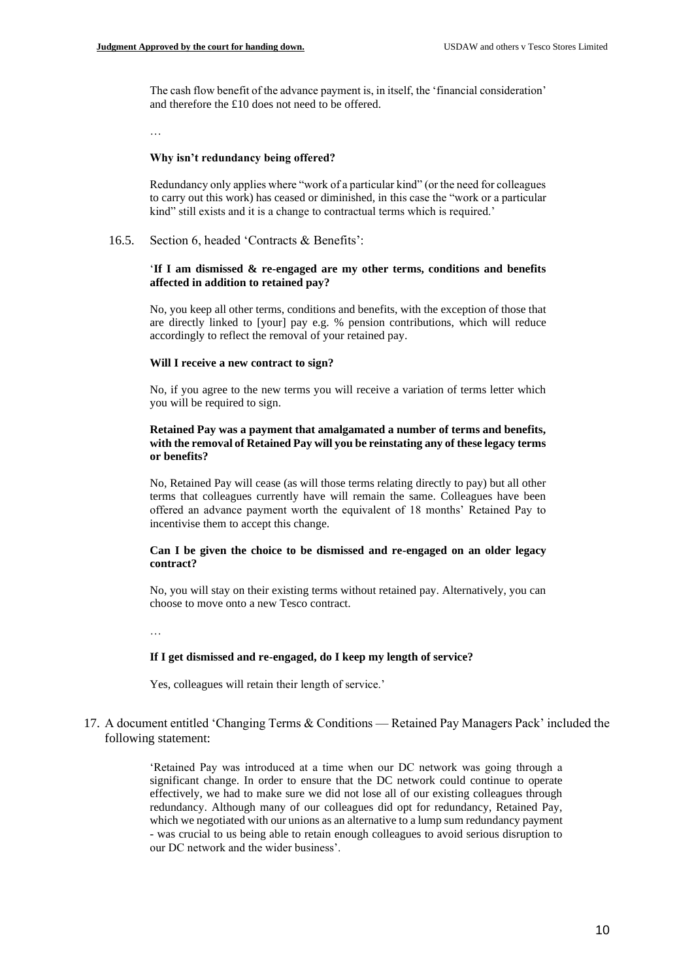The cash flow benefit of the advance payment is, in itself, the 'financial consideration' and therefore the £10 does not need to be offered.

…

#### **Why isn't redundancy being offered?**

Redundancy only applies where "work of a particular kind" (or the need for colleagues to carry out this work) has ceased or diminished, in this case the "work or a particular kind" still exists and it is a change to contractual terms which is required.'

16.5. Section 6, headed 'Contracts & Benefits':

#### '**If I am dismissed & re-engaged are my other terms, conditions and benefits affected in addition to retained pay?**

No, you keep all other terms, conditions and benefits, with the exception of those that are directly linked to [your] pay e.g. % pension contributions, which will reduce accordingly to reflect the removal of your retained pay.

#### **Will I receive a new contract to sign?**

No, if you agree to the new terms you will receive a variation of terms letter which you will be required to sign.

#### **Retained Pay was a payment that amalgamated a number of terms and benefits, with the removal of Retained Pay will you be reinstating any of these legacy terms or benefits?**

No, Retained Pay will cease (as will those terms relating directly to pay) but all other terms that colleagues currently have will remain the same. Colleagues have been offered an advance payment worth the equivalent of 18 months' Retained Pay to incentivise them to accept this change.

#### **Can I be given the choice to be dismissed and re-engaged on an older legacy contract?**

No, you will stay on their existing terms without retained pay. Alternatively, you can choose to move onto a new Tesco contract.

…

#### **If I get dismissed and re-engaged, do I keep my length of service?**

Yes, colleagues will retain their length of service.'

## 17. A document entitled 'Changing Terms & Conditions — Retained Pay Managers Pack' included the following statement:

'Retained Pay was introduced at a time when our DC network was going through a significant change. In order to ensure that the DC network could continue to operate effectively, we had to make sure we did not lose all of our existing colleagues through redundancy. Although many of our colleagues did opt for redundancy, Retained Pay, which we negotiated with our unions as an alternative to a lump sum redundancy payment - was crucial to us being able to retain enough colleagues to avoid serious disruption to our DC network and the wider business'.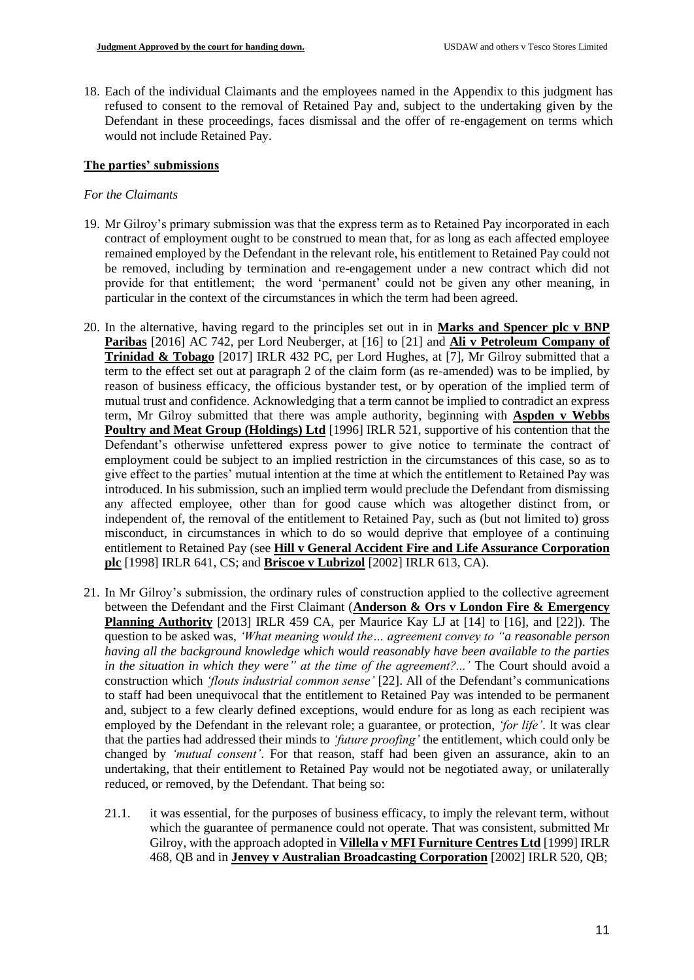18. Each of the individual Claimants and the employees named in the Appendix to this judgment has refused to consent to the removal of Retained Pay and, subject to the undertaking given by the Defendant in these proceedings, faces dismissal and the offer of re-engagement on terms which would not include Retained Pay.

# **The parties' submissions**

# *For the Claimants*

- 19. Mr Gilroy's primary submission was that the express term as to Retained Pay incorporated in each contract of employment ought to be construed to mean that, for as long as each affected employee remained employed by the Defendant in the relevant role, his entitlement to Retained Pay could not be removed, including by termination and re-engagement under a new contract which did not provide for that entitlement; the word 'permanent' could not be given any other meaning, in particular in the context of the circumstances in which the term had been agreed.
- 20. In the alternative, having regard to the principles set out in in **Marks and Spencer plc v BNP Paribas** [2016] AC 742, per Lord Neuberger, at [16] to [21] and **Ali v Petroleum Company of Trinidad & Tobago** [2017] IRLR 432 PC, per Lord Hughes, at [7], Mr Gilroy submitted that a term to the effect set out at paragraph 2 of the claim form (as re-amended) was to be implied, by reason of business efficacy, the officious bystander test, or by operation of the implied term of mutual trust and confidence. Acknowledging that a term cannot be implied to contradict an express term, Mr Gilroy submitted that there was ample authority, beginning with **Aspden v Webbs Poultry and Meat Group (Holdings) Ltd** [1996] IRLR 521, supportive of his contention that the Defendant's otherwise unfettered express power to give notice to terminate the contract of employment could be subject to an implied restriction in the circumstances of this case, so as to give effect to the parties' mutual intention at the time at which the entitlement to Retained Pay was introduced. In his submission, such an implied term would preclude the Defendant from dismissing any affected employee, other than for good cause which was altogether distinct from, or independent of, the removal of the entitlement to Retained Pay, such as (but not limited to) gross misconduct, in circumstances in which to do so would deprive that employee of a continuing entitlement to Retained Pay (see **Hill v General Accident Fire and Life Assurance Corporation plc** [1998] IRLR 641, CS; and **Briscoe v Lubrizol** [2002] IRLR 613, CA).
- 21. In Mr Gilroy's submission, the ordinary rules of construction applied to the collective agreement between the Defendant and the First Claimant (**Anderson & Ors v London Fire & Emergency Planning Authority** [2013] IRLR 459 CA, per Maurice Kay LJ at [14] to [16], and [22]). The question to be asked was, *'What meaning would the… agreement convey to "a reasonable person having all the background knowledge which would reasonably have been available to the parties in the situation in which they were" at the time of the agreement?...'* The Court should avoid a construction which *'flouts industrial common sense'* [22]. All of the Defendant's communications to staff had been unequivocal that the entitlement to Retained Pay was intended to be permanent and, subject to a few clearly defined exceptions, would endure for as long as each recipient was employed by the Defendant in the relevant role; a guarantee, or protection, *'for life'*. It was clear that the parties had addressed their minds to *'future proofing'* the entitlement, which could only be changed by *'mutual consent'*. For that reason, staff had been given an assurance, akin to an undertaking, that their entitlement to Retained Pay would not be negotiated away, or unilaterally reduced, or removed, by the Defendant. That being so:
	- 21.1. it was essential, for the purposes of business efficacy, to imply the relevant term, without which the guarantee of permanence could not operate. That was consistent, submitted Mr Gilroy, with the approach adopted in **Villella v MFI Furniture Centres Ltd** [1999] IRLR 468, QB and in **Jenvey v Australian Broadcasting Corporation** [2002] IRLR 520, QB;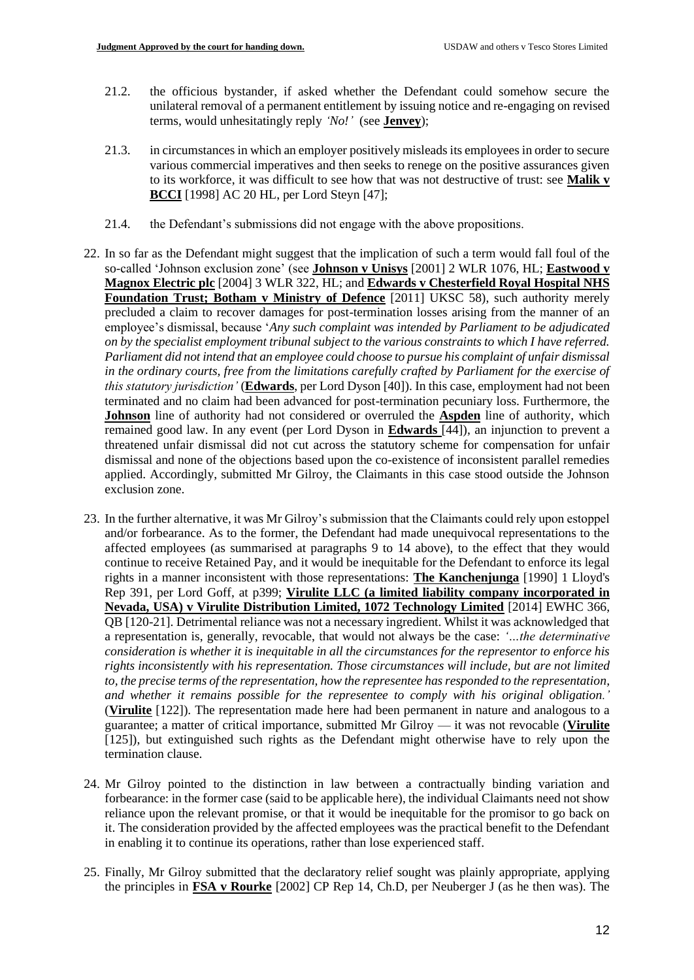- 21.2. the officious bystander, if asked whether the Defendant could somehow secure the unilateral removal of a permanent entitlement by issuing notice and re-engaging on revised terms, would unhesitatingly reply *'No!'* (see **Jenvey**);
- 21.3. in circumstances in which an employer positively misleads its employees in order to secure various commercial imperatives and then seeks to renege on the positive assurances given to its workforce, it was difficult to see how that was not destructive of trust: see **Malik v BCCI** [1998] AC 20 HL, per Lord Steyn [47];
- 21.4. the Defendant's submissions did not engage with the above propositions.
- 22. In so far as the Defendant might suggest that the implication of such a term would fall foul of the so-called 'Johnson exclusion zone' (see **Johnson v Unisys** [2001] 2 WLR 1076, HL; **Eastwood v Magnox Electric plc** [2004] 3 WLR 322, HL; and **Edwards v Chesterfield Royal Hospital NHS Foundation Trust; Botham v Ministry of Defence** [2011] UKSC 58), such authority merely precluded a claim to recover damages for post-termination losses arising from the manner of an employee's dismissal, because '*Any such complaint was intended by Parliament to be adjudicated on by the specialist employment tribunal subject to the various constraints to which I have referred. Parliament did not intend that an employee could choose to pursue his complaint of unfair dismissal in the ordinary courts, free from the limitations carefully crafted by Parliament for the exercise of this statutory jurisdiction'* (**Edwards**, per Lord Dyson [40]). In this case, employment had not been terminated and no claim had been advanced for post-termination pecuniary loss. Furthermore, the **Johnson** line of authority had not considered or overruled the **Aspden** line of authority, which remained good law. In any event (per Lord Dyson in **Edwards** [44]), an injunction to prevent a threatened unfair dismissal did not cut across the statutory scheme for compensation for unfair dismissal and none of the objections based upon the co-existence of inconsistent parallel remedies applied. Accordingly, submitted Mr Gilroy, the Claimants in this case stood outside the Johnson exclusion zone.
- 23. In the further alternative, it was Mr Gilroy's submission that the Claimants could rely upon estoppel and/or forbearance. As to the former, the Defendant had made unequivocal representations to the affected employees (as summarised at paragraphs 9 to 14 above), to the effect that they would continue to receive Retained Pay, and it would be inequitable for the Defendant to enforce its legal rights in a manner inconsistent with those representations: **The Kanchenjunga** [1990] 1 Lloyd's Rep 391, per Lord Goff, at p399; **Virulite LLC (a limited liability company incorporated in Nevada, USA) v Virulite Distribution Limited, 1072 Technology Limited** [2014] EWHC 366, QB [120-21]. Detrimental reliance was not a necessary ingredient. Whilst it was acknowledged that a representation is, generally, revocable, that would not always be the case: *'…the determinative consideration is whether it is inequitable in all the circumstances for the representor to enforce his rights inconsistently with his representation. Those circumstances will include, but are not limited to, the precise terms of the representation, how the representee has responded to the representation, and whether it remains possible for the representee to comply with his original obligation.'* (**Virulite** [122]). The representation made here had been permanent in nature and analogous to a guarantee; a matter of critical importance, submitted Mr Gilroy — it was not revocable (**Virulite** [125]), but extinguished such rights as the Defendant might otherwise have to rely upon the termination clause.
- 24. Mr Gilroy pointed to the distinction in law between a contractually binding variation and forbearance: in the former case (said to be applicable here), the individual Claimants need not show reliance upon the relevant promise, or that it would be inequitable for the promisor to go back on it. The consideration provided by the affected employees was the practical benefit to the Defendant in enabling it to continue its operations, rather than lose experienced staff.
- 25. Finally, Mr Gilroy submitted that the declaratory relief sought was plainly appropriate, applying the principles in **FSA v Rourke** [2002] CP Rep 14, Ch.D, per Neuberger J (as he then was). The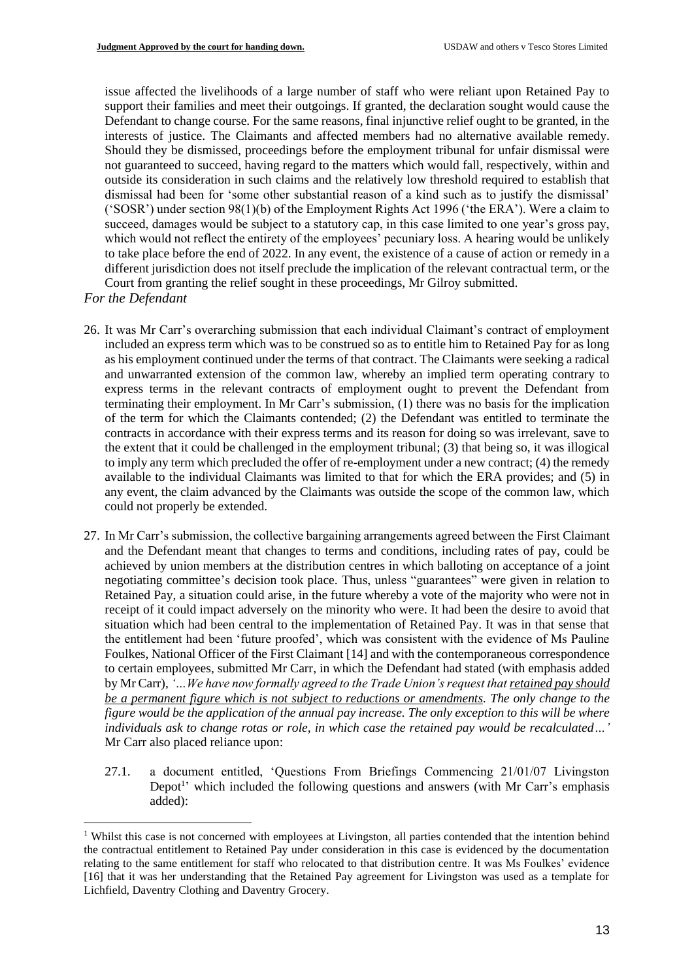issue affected the livelihoods of a large number of staff who were reliant upon Retained Pay to support their families and meet their outgoings. If granted, the declaration sought would cause the Defendant to change course. For the same reasons, final injunctive relief ought to be granted, in the interests of justice. The Claimants and affected members had no alternative available remedy. Should they be dismissed, proceedings before the employment tribunal for unfair dismissal were not guaranteed to succeed, having regard to the matters which would fall, respectively, within and outside its consideration in such claims and the relatively low threshold required to establish that dismissal had been for 'some other substantial reason of a kind such as to justify the dismissal' ('SOSR') under section 98(1)(b) of the Employment Rights Act 1996 ('the ERA'). Were a claim to succeed, damages would be subject to a statutory cap, in this case limited to one year's gross pay, which would not reflect the entirety of the employees' pecuniary loss. A hearing would be unlikely to take place before the end of 2022. In any event, the existence of a cause of action or remedy in a different jurisdiction does not itself preclude the implication of the relevant contractual term, or the Court from granting the relief sought in these proceedings, Mr Gilroy submitted.

- *For the Defendant*
- 26. It was Mr Carr's overarching submission that each individual Claimant's contract of employment included an express term which was to be construed so as to entitle him to Retained Pay for as long as his employment continued under the terms of that contract. The Claimants were seeking a radical and unwarranted extension of the common law, whereby an implied term operating contrary to express terms in the relevant contracts of employment ought to prevent the Defendant from terminating their employment. In Mr Carr's submission, (1) there was no basis for the implication of the term for which the Claimants contended; (2) the Defendant was entitled to terminate the contracts in accordance with their express terms and its reason for doing so was irrelevant, save to the extent that it could be challenged in the employment tribunal; (3) that being so, it was illogical to imply any term which precluded the offer of re-employment under a new contract; (4) the remedy available to the individual Claimants was limited to that for which the ERA provides; and (5) in any event, the claim advanced by the Claimants was outside the scope of the common law, which could not properly be extended.
- 27. In Mr Carr's submission, the collective bargaining arrangements agreed between the First Claimant and the Defendant meant that changes to terms and conditions, including rates of pay, could be achieved by union members at the distribution centres in which balloting on acceptance of a joint negotiating committee's decision took place. Thus, unless "guarantees" were given in relation to Retained Pay, a situation could arise, in the future whereby a vote of the majority who were not in receipt of it could impact adversely on the minority who were. It had been the desire to avoid that situation which had been central to the implementation of Retained Pay. It was in that sense that the entitlement had been 'future proofed', which was consistent with the evidence of Ms Pauline Foulkes, National Officer of the First Claimant [14] and with the contemporaneous correspondence to certain employees, submitted Mr Carr, in which the Defendant had stated (with emphasis added by Mr Carr), *'…We have now formally agreed to the Trade Union's request that retained pay should be a permanent figure which is not subject to reductions or amendments. The only change to the figure would be the application of the annual pay increase. The only exception to this will be where individuals ask to change rotas or role, in which case the retained pay would be recalculated…'* Mr Carr also placed reliance upon:
	- 27.1. a document entitled, 'Questions From Briefings Commencing 21/01/07 Livingston Depot<sup>1</sup>' which included the following questions and answers (with Mr Carr's emphasis added):

<sup>&</sup>lt;sup>1</sup> Whilst this case is not concerned with employees at Livingston, all parties contended that the intention behind the contractual entitlement to Retained Pay under consideration in this case is evidenced by the documentation relating to the same entitlement for staff who relocated to that distribution centre. It was Ms Foulkes' evidence [16] that it was her understanding that the Retained Pay agreement for Livingston was used as a template for Lichfield, Daventry Clothing and Daventry Grocery.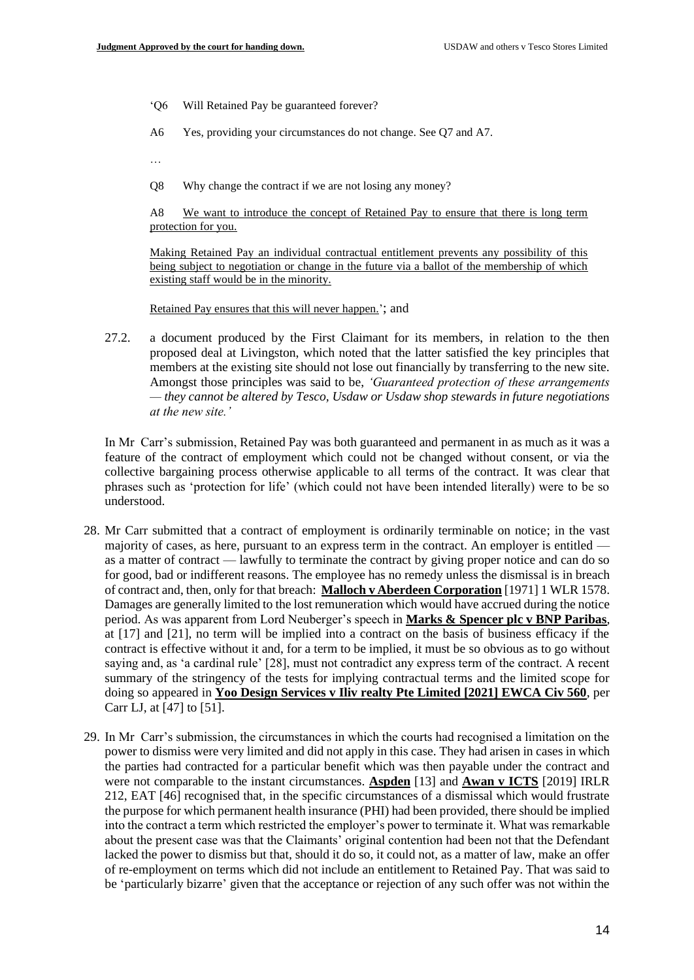- 'Q6 Will Retained Pay be guaranteed forever?
- A6 Yes, providing your circumstances do not change. See Q7 and A7.
- …
- Q8 Why change the contract if we are not losing any money?

A8 We want to introduce the concept of Retained Pay to ensure that there is long term protection for you.

Making Retained Pay an individual contractual entitlement prevents any possibility of this being subject to negotiation or change in the future via a ballot of the membership of which existing staff would be in the minority.

Retained Pay ensures that this will never happen.'; and

27.2. a document produced by the First Claimant for its members, in relation to the then proposed deal at Livingston, which noted that the latter satisfied the key principles that members at the existing site should not lose out financially by transferring to the new site. Amongst those principles was said to be, *'Guaranteed protection of these arrangements — they cannot be altered by Tesco, Usdaw or Usdaw shop stewards in future negotiations at the new site.'*

In Mr Carr's submission, Retained Pay was both guaranteed and permanent in as much as it was a feature of the contract of employment which could not be changed without consent, or via the collective bargaining process otherwise applicable to all terms of the contract. It was clear that phrases such as 'protection for life' (which could not have been intended literally) were to be so understood.

- 28. Mr Carr submitted that a contract of employment is ordinarily terminable on notice; in the vast majority of cases, as here, pursuant to an express term in the contract. An employer is entitled as a matter of contract — lawfully to terminate the contract by giving proper notice and can do so for good, bad or indifferent reasons. The employee has no remedy unless the dismissal is in breach of contract and, then, only for that breach: **Malloch v Aberdeen Corporation** [1971] 1 WLR 1578. Damages are generally limited to the lost remuneration which would have accrued during the notice period. As was apparent from Lord Neuberger's speech in **Marks & Spencer plc v BNP Paribas**, at [17] and [21], no term will be implied into a contract on the basis of business efficacy if the contract is effective without it and, for a term to be implied, it must be so obvious as to go without saying and, as 'a cardinal rule' [28], must not contradict any express term of the contract. A recent summary of the stringency of the tests for implying contractual terms and the limited scope for doing so appeared in **Yoo Design Services v Iliv realty Pte Limited [2021] EWCA Civ 560**, per Carr LJ, at [47] to [51].
- 29. In Mr Carr's submission, the circumstances in which the courts had recognised a limitation on the power to dismiss were very limited and did not apply in this case. They had arisen in cases in which the parties had contracted for a particular benefit which was then payable under the contract and were not comparable to the instant circumstances. **Aspden** [13] and **Awan v ICTS** [2019] IRLR 212, EAT [46] recognised that, in the specific circumstances of a dismissal which would frustrate the purpose for which permanent health insurance (PHI) had been provided, there should be implied into the contract a term which restricted the employer's power to terminate it. What was remarkable about the present case was that the Claimants' original contention had been not that the Defendant lacked the power to dismiss but that, should it do so, it could not, as a matter of law, make an offer of re-employment on terms which did not include an entitlement to Retained Pay. That was said to be 'particularly bizarre' given that the acceptance or rejection of any such offer was not within the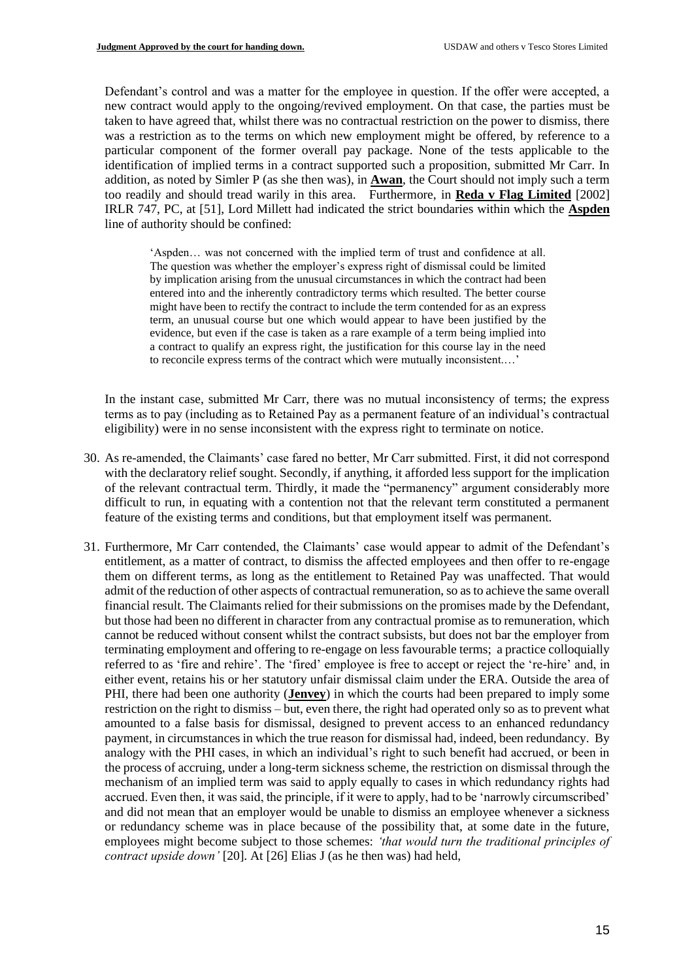Defendant's control and was a matter for the employee in question. If the offer were accepted, a new contract would apply to the ongoing/revived employment. On that case, the parties must be taken to have agreed that, whilst there was no contractual restriction on the power to dismiss, there was a restriction as to the terms on which new employment might be offered, by reference to a particular component of the former overall pay package. None of the tests applicable to the identification of implied terms in a contract supported such a proposition, submitted Mr Carr. In addition, as noted by Simler P (as she then was), in **Awan**, the Court should not imply such a term too readily and should tread warily in this area. Furthermore, in **Reda v Flag Limited** [2002] IRLR 747, PC, at [51], Lord Millett had indicated the strict boundaries within which the **Aspden** line of authority should be confined:

'Aspden… was not concerned with the implied term of trust and confidence at all. The question was whether the employer's express right of dismissal could be limited by implication arising from the unusual circumstances in which the contract had been entered into and the inherently contradictory terms which resulted. The better course might have been to rectify the contract to include the term contended for as an express term, an unusual course but one which would appear to have been justified by the evidence, but even if the case is taken as a rare example of a term being implied into a contract to qualify an express right, the justification for this course lay in the need to reconcile express terms of the contract which were mutually inconsistent.…'

In the instant case, submitted Mr Carr, there was no mutual inconsistency of terms; the express terms as to pay (including as to Retained Pay as a permanent feature of an individual's contractual eligibility) were in no sense inconsistent with the express right to terminate on notice.

- 30. As re-amended, the Claimants' case fared no better, Mr Carr submitted. First, it did not correspond with the declaratory relief sought. Secondly, if anything, it afforded less support for the implication of the relevant contractual term. Thirdly, it made the "permanency" argument considerably more difficult to run, in equating with a contention not that the relevant term constituted a permanent feature of the existing terms and conditions, but that employment itself was permanent.
- 31. Furthermore, Mr Carr contended, the Claimants' case would appear to admit of the Defendant's entitlement, as a matter of contract, to dismiss the affected employees and then offer to re-engage them on different terms, as long as the entitlement to Retained Pay was unaffected. That would admit of the reduction of other aspects of contractual remuneration, so as to achieve the same overall financial result. The Claimants relied for their submissions on the promises made by the Defendant, but those had been no different in character from any contractual promise as to remuneration, which cannot be reduced without consent whilst the contract subsists, but does not bar the employer from terminating employment and offering to re-engage on less favourable terms; a practice colloquially referred to as 'fire and rehire'. The 'fired' employee is free to accept or reject the 're-hire' and, in either event, retains his or her statutory unfair dismissal claim under the ERA. Outside the area of PHI, there had been one authority (**Jenvey**) in which the courts had been prepared to imply some restriction on the right to dismiss – but, even there, the right had operated only so as to prevent what amounted to a false basis for dismissal, designed to prevent access to an enhanced redundancy payment, in circumstances in which the true reason for dismissal had, indeed, been redundancy. By analogy with the PHI cases, in which an individual's right to such benefit had accrued, or been in the process of accruing, under a long-term sickness scheme, the restriction on dismissal through the mechanism of an implied term was said to apply equally to cases in which redundancy rights had accrued. Even then, it was said, the principle, if it were to apply, had to be 'narrowly circumscribed' and did not mean that an employer would be unable to dismiss an employee whenever a sickness or redundancy scheme was in place because of the possibility that, at some date in the future, employees might become subject to those schemes: *'that would turn the traditional principles of contract upside down'* [20]. At [26] Elias J (as he then was) had held,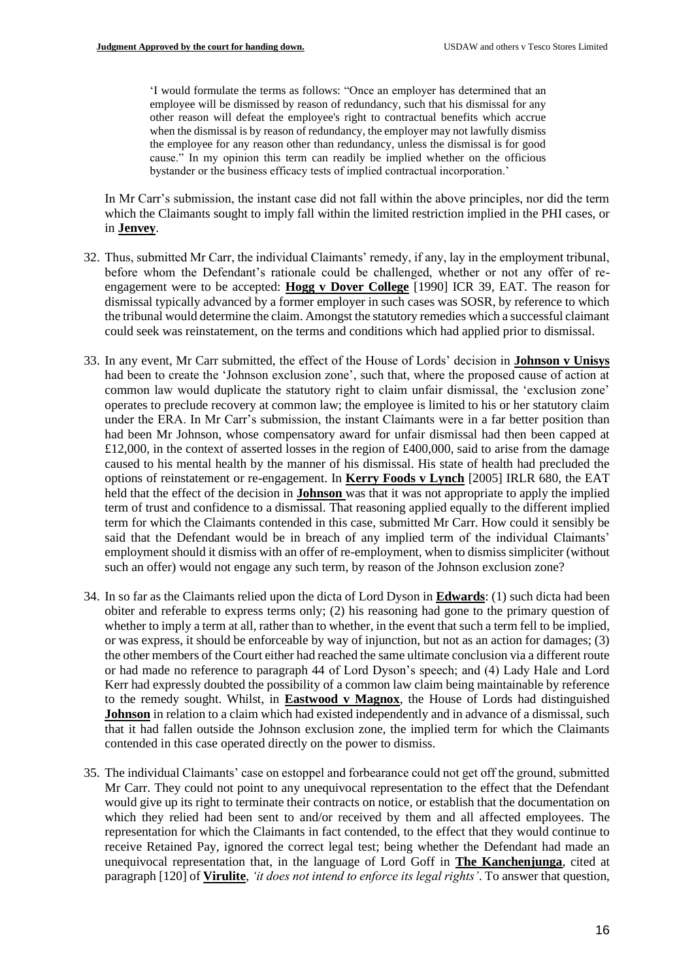'I would formulate the terms as follows: "Once an employer has determined that an employee will be dismissed by reason of redundancy, such that his dismissal for any other reason will defeat the employee's right to contractual benefits which accrue when the dismissal is by reason of redundancy, the employer may not lawfully dismiss the employee for any reason other than redundancy, unless the dismissal is for good cause." In my opinion this term can readily be implied whether on the officious bystander or the business efficacy tests of implied contractual incorporation.'

In Mr Carr's submission, the instant case did not fall within the above principles, nor did the term which the Claimants sought to imply fall within the limited restriction implied in the PHI cases, or in **Jenvey**.

- 32. Thus, submitted Mr Carr, the individual Claimants' remedy, if any, lay in the employment tribunal, before whom the Defendant's rationale could be challenged, whether or not any offer of reengagement were to be accepted: **Hogg v Dover College** [1990] ICR 39, EAT. The reason for dismissal typically advanced by a former employer in such cases was SOSR, by reference to which the tribunal would determine the claim. Amongst the statutory remedies which a successful claimant could seek was reinstatement, on the terms and conditions which had applied prior to dismissal.
- 33. In any event, Mr Carr submitted, the effect of the House of Lords' decision in **Johnson v Unisys** had been to create the 'Johnson exclusion zone', such that, where the proposed cause of action at common law would duplicate the statutory right to claim unfair dismissal, the 'exclusion zone' operates to preclude recovery at common law; the employee is limited to his or her statutory claim under the ERA. In Mr Carr's submission, the instant Claimants were in a far better position than had been Mr Johnson, whose compensatory award for unfair dismissal had then been capped at £12,000, in the context of asserted losses in the region of £400,000, said to arise from the damage caused to his mental health by the manner of his dismissal. His state of health had precluded the options of reinstatement or re-engagement. In **Kerry Foods v Lynch** [2005] IRLR 680, the EAT held that the effect of the decision in **Johnson** was that it was not appropriate to apply the implied term of trust and confidence to a dismissal. That reasoning applied equally to the different implied term for which the Claimants contended in this case, submitted Mr Carr. How could it sensibly be said that the Defendant would be in breach of any implied term of the individual Claimants' employment should it dismiss with an offer of re-employment, when to dismiss simpliciter (without such an offer) would not engage any such term, by reason of the Johnson exclusion zone?
- 34. In so far as the Claimants relied upon the dicta of Lord Dyson in **Edwards**: (1) such dicta had been obiter and referable to express terms only; (2) his reasoning had gone to the primary question of whether to imply a term at all, rather than to whether, in the event that such a term fell to be implied, or was express, it should be enforceable by way of injunction, but not as an action for damages; (3) the other members of the Court either had reached the same ultimate conclusion via a different route or had made no reference to paragraph 44 of Lord Dyson's speech; and (4) Lady Hale and Lord Kerr had expressly doubted the possibility of a common law claim being maintainable by reference to the remedy sought. Whilst, in **Eastwood v Magnox**, the House of Lords had distinguished **Johnson** in relation to a claim which had existed independently and in advance of a dismissal, such that it had fallen outside the Johnson exclusion zone, the implied term for which the Claimants contended in this case operated directly on the power to dismiss.
- 35. The individual Claimants' case on estoppel and forbearance could not get off the ground, submitted Mr Carr. They could not point to any unequivocal representation to the effect that the Defendant would give up its right to terminate their contracts on notice, or establish that the documentation on which they relied had been sent to and/or received by them and all affected employees. The representation for which the Claimants in fact contended, to the effect that they would continue to receive Retained Pay, ignored the correct legal test; being whether the Defendant had made an unequivocal representation that, in the language of Lord Goff in **The Kanchenjunga**, cited at paragraph [120] of **Virulite**, *'it does not intend to enforce its legal rights'*. To answer that question,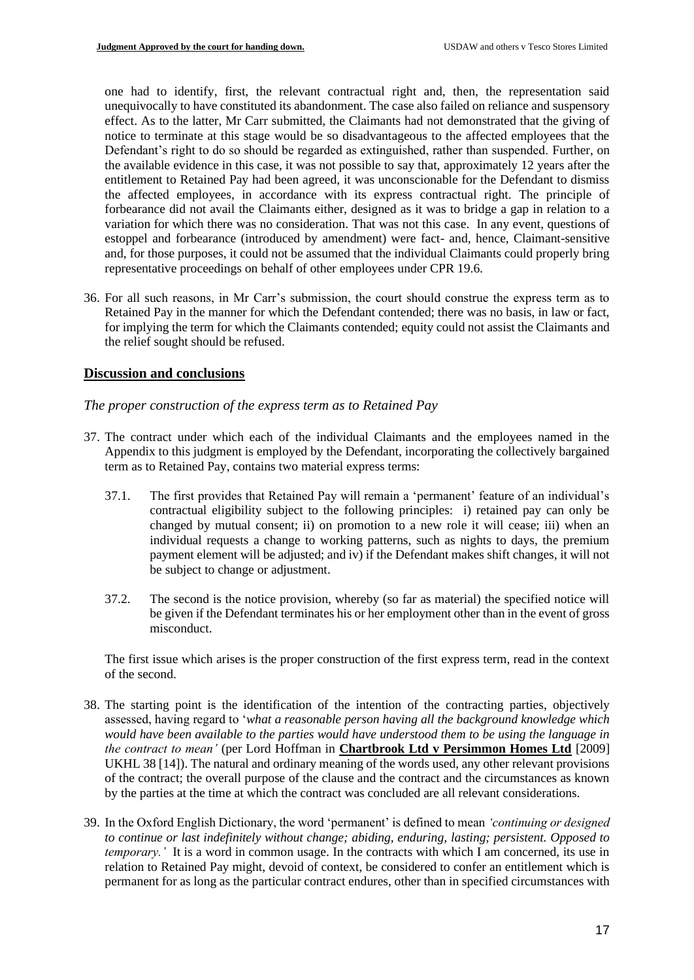one had to identify, first, the relevant contractual right and, then, the representation said unequivocally to have constituted its abandonment. The case also failed on reliance and suspensory effect. As to the latter, Mr Carr submitted, the Claimants had not demonstrated that the giving of notice to terminate at this stage would be so disadvantageous to the affected employees that the Defendant's right to do so should be regarded as extinguished, rather than suspended. Further, on the available evidence in this case, it was not possible to say that, approximately 12 years after the entitlement to Retained Pay had been agreed, it was unconscionable for the Defendant to dismiss the affected employees, in accordance with its express contractual right. The principle of forbearance did not avail the Claimants either, designed as it was to bridge a gap in relation to a variation for which there was no consideration. That was not this case. In any event, questions of estoppel and forbearance (introduced by amendment) were fact- and, hence, Claimant-sensitive and, for those purposes, it could not be assumed that the individual Claimants could properly bring representative proceedings on behalf of other employees under CPR 19.6.

36. For all such reasons, in Mr Carr's submission, the court should construe the express term as to Retained Pay in the manner for which the Defendant contended; there was no basis, in law or fact, for implying the term for which the Claimants contended; equity could not assist the Claimants and the relief sought should be refused.

# **Discussion and conclusions**

*The proper construction of the express term as to Retained Pay*

- 37. The contract under which each of the individual Claimants and the employees named in the Appendix to this judgment is employed by the Defendant, incorporating the collectively bargained term as to Retained Pay, contains two material express terms:
	- 37.1. The first provides that Retained Pay will remain a 'permanent' feature of an individual's contractual eligibility subject to the following principles: i) retained pay can only be changed by mutual consent; ii) on promotion to a new role it will cease; iii) when an individual requests a change to working patterns, such as nights to days, the premium payment element will be adjusted; and iv) if the Defendant makes shift changes, it will not be subject to change or adjustment.
	- 37.2. The second is the notice provision, whereby (so far as material) the specified notice will be given if the Defendant terminates his or her employment other than in the event of gross misconduct.

The first issue which arises is the proper construction of the first express term, read in the context of the second.

- 38. The starting point is the identification of the intention of the contracting parties, objectively assessed, having regard to '*what a reasonable person having all the background knowledge which would have been available to the parties would have understood them to be using the language in the contract to mean'* (per Lord Hoffman in **Chartbrook Ltd v Persimmon Homes Ltd** [2009] UKHL 38 [14]). The natural and ordinary meaning of the words used, any other relevant provisions of the contract; the overall purpose of the clause and the contract and the circumstances as known by the parties at the time at which the contract was concluded are all relevant considerations.
- 39. In the Oxford English Dictionary, the word 'permanent' is defined to mean *'continuing or designed to continue or last indefinitely without change; abiding, enduring, lasting; persistent. Opposed to temporary.*' It is a word in common usage. In the contracts with which I am concerned, its use in relation to Retained Pay might, devoid of context, be considered to confer an entitlement which is permanent for as long as the particular contract endures, other than in specified circumstances with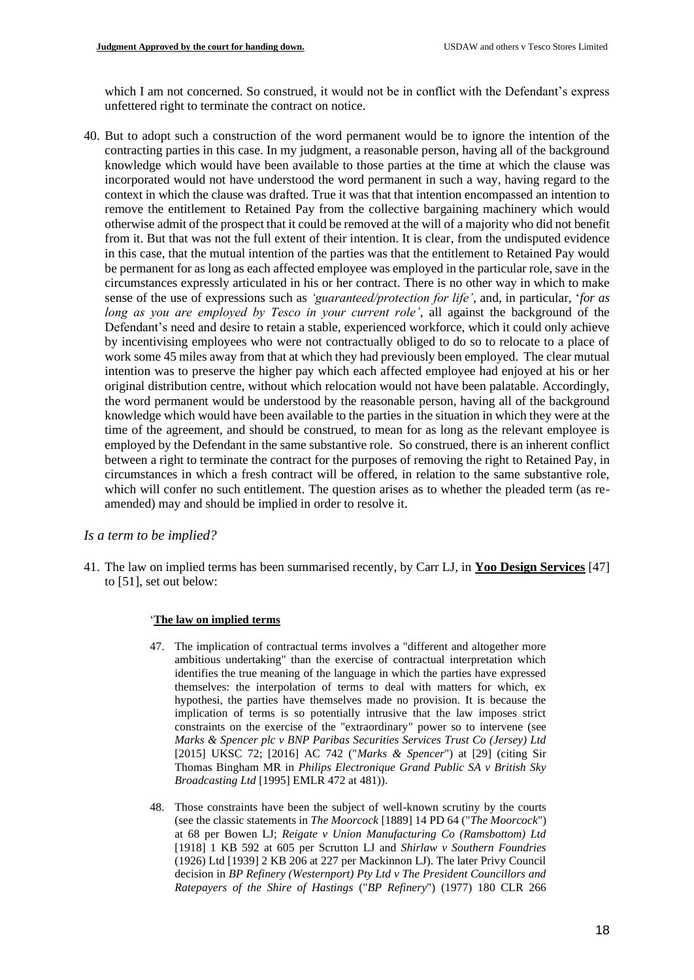which I am not concerned. So construed, it would not be in conflict with the Defendant's express unfettered right to terminate the contract on notice.

40. But to adopt such a construction of the word permanent would be to ignore the intention of the contracting parties in this case. In my judgment, a reasonable person, having all of the background knowledge which would have been available to those parties at the time at which the clause was incorporated would not have understood the word permanent in such a way, having regard to the context in which the clause was drafted. True it was that that intention encompassed an intention to remove the entitlement to Retained Pay from the collective bargaining machinery which would otherwise admit of the prospect that it could be removed at the will of a majority who did not benefit from it. But that was not the full extent of their intention. It is clear, from the undisputed evidence in this case, that the mutual intention of the parties was that the entitlement to Retained Pay would be permanent for as long as each affected employee was employed in the particular role, save in the circumstances expressly articulated in his or her contract. There is no other way in which to make sense of the use of expressions such as *'guaranteed/protection for life'*, and, in particular, '*for as long as you are employed by Tesco in your current role'*, all against the background of the Defendant's need and desire to retain a stable, experienced workforce, which it could only achieve by incentivising employees who were not contractually obliged to do so to relocate to a place of work some 45 miles away from that at which they had previously been employed. The clear mutual intention was to preserve the higher pay which each affected employee had enjoyed at his or her original distribution centre, without which relocation would not have been palatable. Accordingly, the word permanent would be understood by the reasonable person, having all of the background knowledge which would have been available to the parties in the situation in which they were at the time of the agreement, and should be construed, to mean for as long as the relevant employee is employed by the Defendant in the same substantive role. So construed, there is an inherent conflict between a right to terminate the contract for the purposes of removing the right to Retained Pay, in circumstances in which a fresh contract will be offered, in relation to the same substantive role, which will confer no such entitlement. The question arises as to whether the pleaded term (as reamended) may and should be implied in order to resolve it.

## *Is a term to be implied?*

41. The law on implied terms has been summarised recently, by Carr LJ, in **Yoo Design Services** [47] to [51], set out below:

## '**The law on implied terms**

- 47. The implication of contractual terms involves a "different and altogether more ambitious undertaking" than the exercise of contractual interpretation which identifies the true meaning of the language in which the parties have expressed themselves: the interpolation of terms to deal with matters for which, ex hypothesi, the parties have themselves made no provision. It is because the implication of terms is so potentially intrusive that the law imposes strict constraints on the exercise of the "extraordinary" power so to intervene (see *Marks & Spencer plc v BNP Paribas Securities Services Trust Co (Jersey) Ltd* [2015] UKSC 72; [2016] AC 742 ("*Marks & Spencer*") at [29] (citing Sir Thomas Bingham MR in *Philips Electronique Grand Public SA v British Sky Broadcasting Ltd* [1995] EMLR 472 at 481)).
- 48. Those constraints have been the subject of well-known scrutiny by the courts (see the classic statements in *The Moorcock* [1889] 14 PD 64 ("*The Moorcock*") at 68 per Bowen LJ; *Reigate v Union Manufacturing Co (Ramsbottom) Ltd* [1918] 1 KB 592 at 605 per Scrutton LJ and *Shirlaw v Southern Foundries* (1926) Ltd [1939] 2 KB 206 at 227 per Mackinnon LJ). The later Privy Council decision in *BP Refinery (Westernport) Pty Ltd v The President Councillors and Ratepayers of the Shire of Hastings* ("*BP Refinery*") (1977) 180 CLR 266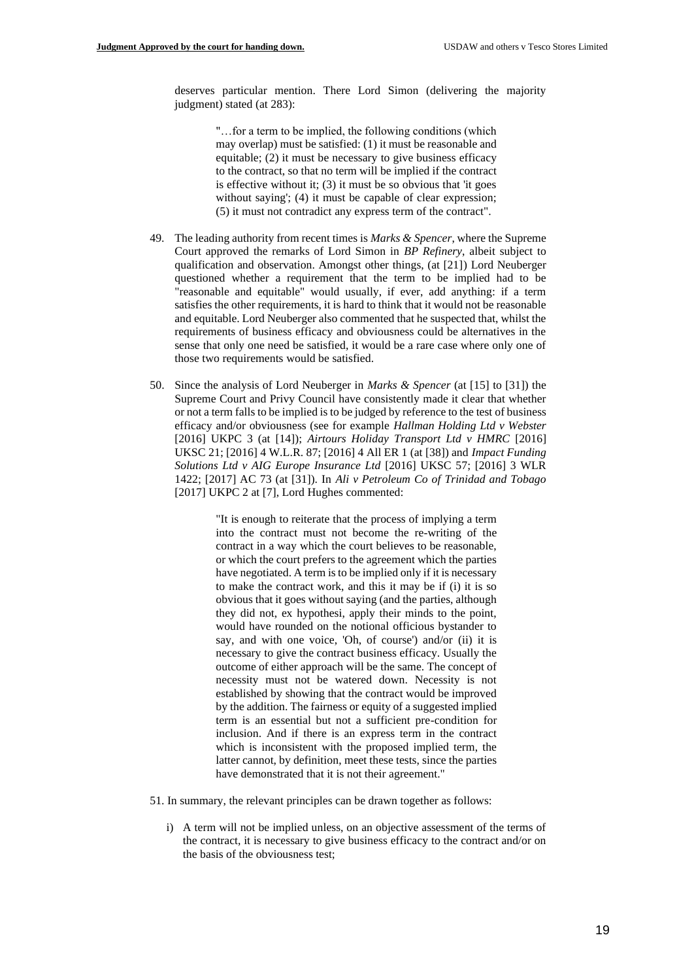deserves particular mention. There Lord Simon (delivering the majority judgment) stated (at 283):

> "…for a term to be implied, the following conditions (which may overlap) must be satisfied: (1) it must be reasonable and equitable; (2) it must be necessary to give business efficacy to the contract, so that no term will be implied if the contract is effective without it;  $(3)$  it must be so obvious that 'it goes without saying'; (4) it must be capable of clear expression; (5) it must not contradict any express term of the contract".

- 49. The leading authority from recent times is *Marks & Spencer*, where the Supreme Court approved the remarks of Lord Simon in *BP Refinery*, albeit subject to qualification and observation. Amongst other things, (at [21]) Lord Neuberger questioned whether a requirement that the term to be implied had to be "reasonable and equitable" would usually, if ever, add anything: if a term satisfies the other requirements, it is hard to think that it would not be reasonable and equitable. Lord Neuberger also commented that he suspected that, whilst the requirements of business efficacy and obviousness could be alternatives in the sense that only one need be satisfied, it would be a rare case where only one of those two requirements would be satisfied.
- 50. Since the analysis of Lord Neuberger in *Marks & Spencer* (at [15] to [31]) the Supreme Court and Privy Council have consistently made it clear that whether or not a term falls to be implied is to be judged by reference to the test of business efficacy and/or obviousness (see for example *Hallman Holding Ltd v Webster* [2016] UKPC 3 (at [14]); *Airtours Holiday Transport Ltd v HMRC* [2016] UKSC 21; [2016] 4 W.L.R. 87; [2016] 4 All ER 1 (at [38]) and *Impact Funding Solutions Ltd v AIG Europe Insurance Ltd* [2016] UKSC 57; [2016] 3 WLR 1422; [2017] AC 73 (at [31]). In *Ali v Petroleum Co of Trinidad and Tobago* [2017] UKPC 2 at [7], Lord Hughes commented:

"It is enough to reiterate that the process of implying a term into the contract must not become the re-writing of the contract in a way which the court believes to be reasonable, or which the court prefers to the agreement which the parties have negotiated. A term is to be implied only if it is necessary to make the contract work, and this it may be if (i) it is so obvious that it goes without saying (and the parties, although they did not, ex hypothesi, apply their minds to the point, would have rounded on the notional officious bystander to say, and with one voice, 'Oh, of course') and/or (ii) it is necessary to give the contract business efficacy. Usually the outcome of either approach will be the same. The concept of necessity must not be watered down. Necessity is not established by showing that the contract would be improved by the addition. The fairness or equity of a suggested implied term is an essential but not a sufficient pre-condition for inclusion. And if there is an express term in the contract which is inconsistent with the proposed implied term, the latter cannot, by definition, meet these tests, since the parties have demonstrated that it is not their agreement."

- 51. In summary, the relevant principles can be drawn together as follows:
	- i) A term will not be implied unless, on an objective assessment of the terms of the contract, it is necessary to give business efficacy to the contract and/or on the basis of the obviousness test;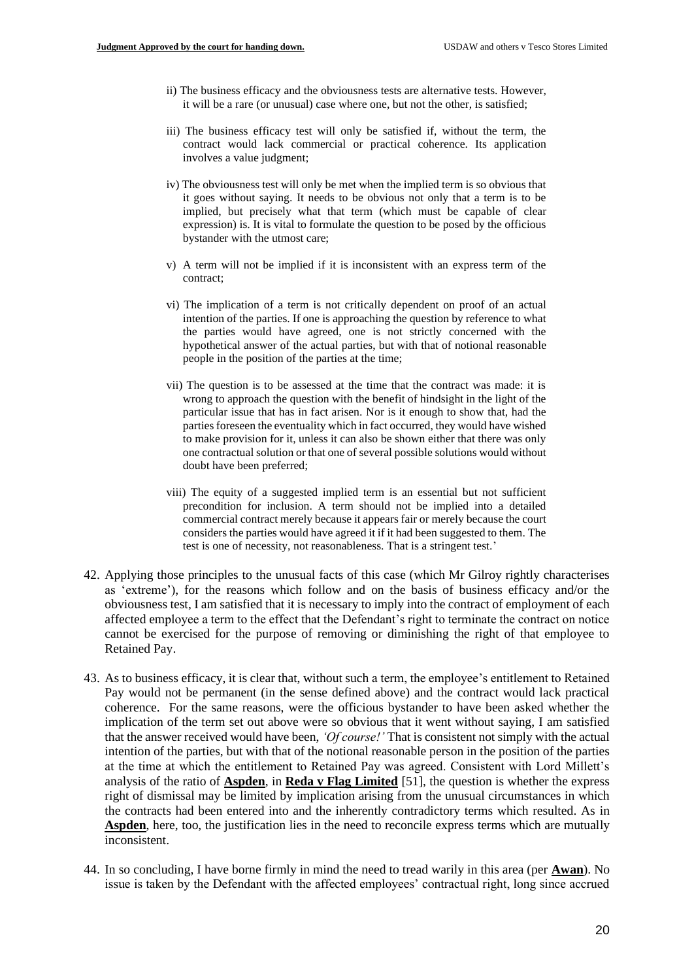- ii) The business efficacy and the obviousness tests are alternative tests. However, it will be a rare (or unusual) case where one, but not the other, is satisfied;
- iii) The business efficacy test will only be satisfied if, without the term, the contract would lack commercial or practical coherence. Its application involves a value judgment;
- iv) The obviousness test will only be met when the implied term is so obvious that it goes without saying. It needs to be obvious not only that a term is to be implied, but precisely what that term (which must be capable of clear expression) is. It is vital to formulate the question to be posed by the officious bystander with the utmost care;
- v) A term will not be implied if it is inconsistent with an express term of the contract;
- vi) The implication of a term is not critically dependent on proof of an actual intention of the parties. If one is approaching the question by reference to what the parties would have agreed, one is not strictly concerned with the hypothetical answer of the actual parties, but with that of notional reasonable people in the position of the parties at the time;
- vii) The question is to be assessed at the time that the contract was made: it is wrong to approach the question with the benefit of hindsight in the light of the particular issue that has in fact arisen. Nor is it enough to show that, had the parties foreseen the eventuality which in fact occurred, they would have wished to make provision for it, unless it can also be shown either that there was only one contractual solution or that one of several possible solutions would without doubt have been preferred;
- viii) The equity of a suggested implied term is an essential but not sufficient precondition for inclusion. A term should not be implied into a detailed commercial contract merely because it appears fair or merely because the court considers the parties would have agreed it if it had been suggested to them. The test is one of necessity, not reasonableness. That is a stringent test.'
- 42. Applying those principles to the unusual facts of this case (which Mr Gilroy rightly characterises as 'extreme'), for the reasons which follow and on the basis of business efficacy and/or the obviousness test, I am satisfied that it is necessary to imply into the contract of employment of each affected employee a term to the effect that the Defendant's right to terminate the contract on notice cannot be exercised for the purpose of removing or diminishing the right of that employee to Retained Pay.
- 43. As to business efficacy, it is clear that, without such a term, the employee's entitlement to Retained Pay would not be permanent (in the sense defined above) and the contract would lack practical coherence. For the same reasons, were the officious bystander to have been asked whether the implication of the term set out above were so obvious that it went without saying, I am satisfied that the answer received would have been, *'Of course!'* That is consistent not simply with the actual intention of the parties, but with that of the notional reasonable person in the position of the parties at the time at which the entitlement to Retained Pay was agreed. Consistent with Lord Millett's analysis of the ratio of **Aspden**, in **Reda v Flag Limited** [51], the question is whether the express right of dismissal may be limited by implication arising from the unusual circumstances in which the contracts had been entered into and the inherently contradictory terms which resulted. As in **Aspden**, here, too, the justification lies in the need to reconcile express terms which are mutually inconsistent.
- 44. In so concluding, I have borne firmly in mind the need to tread warily in this area (per **Awan**). No issue is taken by the Defendant with the affected employees' contractual right, long since accrued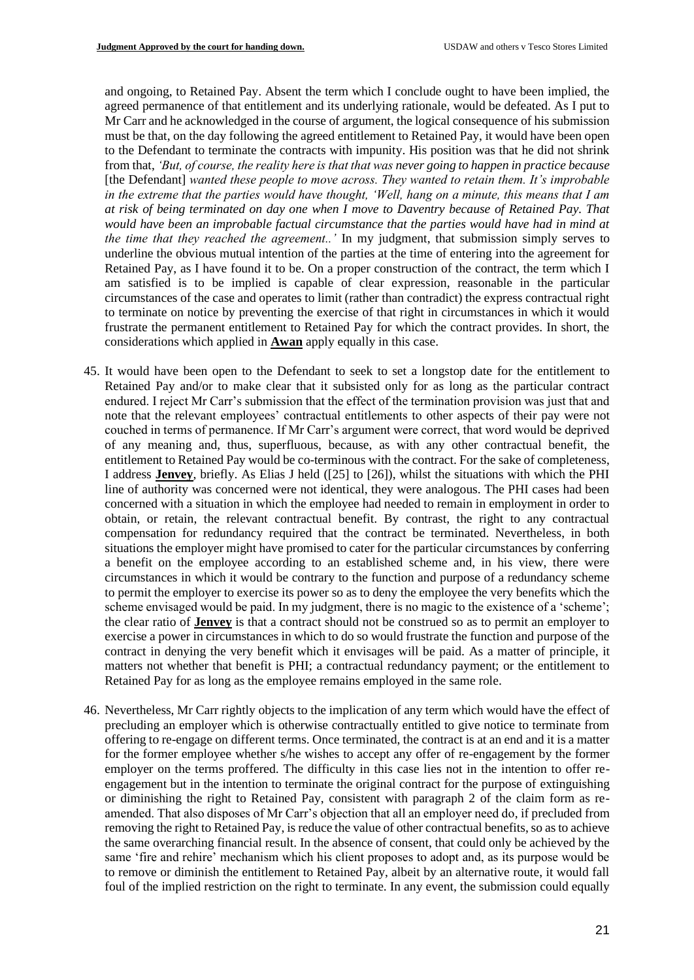and ongoing, to Retained Pay. Absent the term which I conclude ought to have been implied, the agreed permanence of that entitlement and its underlying rationale, would be defeated. As I put to Mr Carr and he acknowledged in the course of argument, the logical consequence of his submission must be that, on the day following the agreed entitlement to Retained Pay, it would have been open to the Defendant to terminate the contracts with impunity. His position was that he did not shrink from that, *'But, of course, the reality here is that that was never going to happen in practice because*  [the Defendant] *wanted these people to move across. They wanted to retain them. It's improbable in the extreme that the parties would have thought, 'Well, hang on a minute, this means that I am at risk of being terminated on day one when I move to Daventry because of Retained Pay. That would have been an improbable factual circumstance that the parties would have had in mind at the time that they reached the agreement..'* In my judgment, that submission simply serves to underline the obvious mutual intention of the parties at the time of entering into the agreement for Retained Pay, as I have found it to be. On a proper construction of the contract, the term which I am satisfied is to be implied is capable of clear expression, reasonable in the particular circumstances of the case and operates to limit (rather than contradict) the express contractual right to terminate on notice by preventing the exercise of that right in circumstances in which it would frustrate the permanent entitlement to Retained Pay for which the contract provides. In short, the considerations which applied in **Awan** apply equally in this case.

- 45. It would have been open to the Defendant to seek to set a longstop date for the entitlement to Retained Pay and/or to make clear that it subsisted only for as long as the particular contract endured. I reject Mr Carr's submission that the effect of the termination provision was just that and note that the relevant employees' contractual entitlements to other aspects of their pay were not couched in terms of permanence. If Mr Carr's argument were correct, that word would be deprived of any meaning and, thus, superfluous, because, as with any other contractual benefit, the entitlement to Retained Pay would be co-terminous with the contract. For the sake of completeness, I address **Jenvey**, briefly. As Elias J held ([25] to [26]), whilst the situations with which the PHI line of authority was concerned were not identical, they were analogous. The PHI cases had been concerned with a situation in which the employee had needed to remain in employment in order to obtain, or retain, the relevant contractual benefit. By contrast, the right to any contractual compensation for redundancy required that the contract be terminated. Nevertheless, in both situations the employer might have promised to cater for the particular circumstances by conferring a benefit on the employee according to an established scheme and, in his view, there were circumstances in which it would be contrary to the function and purpose of a redundancy scheme to permit the employer to exercise its power so as to deny the employee the very benefits which the scheme envisaged would be paid. In my judgment, there is no magic to the existence of a 'scheme'; the clear ratio of **Jenvey** is that a contract should not be construed so as to permit an employer to exercise a power in circumstances in which to do so would frustrate the function and purpose of the contract in denying the very benefit which it envisages will be paid. As a matter of principle, it matters not whether that benefit is PHI; a contractual redundancy payment; or the entitlement to Retained Pay for as long as the employee remains employed in the same role.
- 46. Nevertheless, Mr Carr rightly objects to the implication of any term which would have the effect of precluding an employer which is otherwise contractually entitled to give notice to terminate from offering to re-engage on different terms. Once terminated, the contract is at an end and it is a matter for the former employee whether s/he wishes to accept any offer of re-engagement by the former employer on the terms proffered. The difficulty in this case lies not in the intention to offer reengagement but in the intention to terminate the original contract for the purpose of extinguishing or diminishing the right to Retained Pay, consistent with paragraph 2 of the claim form as reamended. That also disposes of Mr Carr's objection that all an employer need do, if precluded from removing the right to Retained Pay, is reduce the value of other contractual benefits, so as to achieve the same overarching financial result. In the absence of consent, that could only be achieved by the same 'fire and rehire' mechanism which his client proposes to adopt and, as its purpose would be to remove or diminish the entitlement to Retained Pay, albeit by an alternative route, it would fall foul of the implied restriction on the right to terminate. In any event, the submission could equally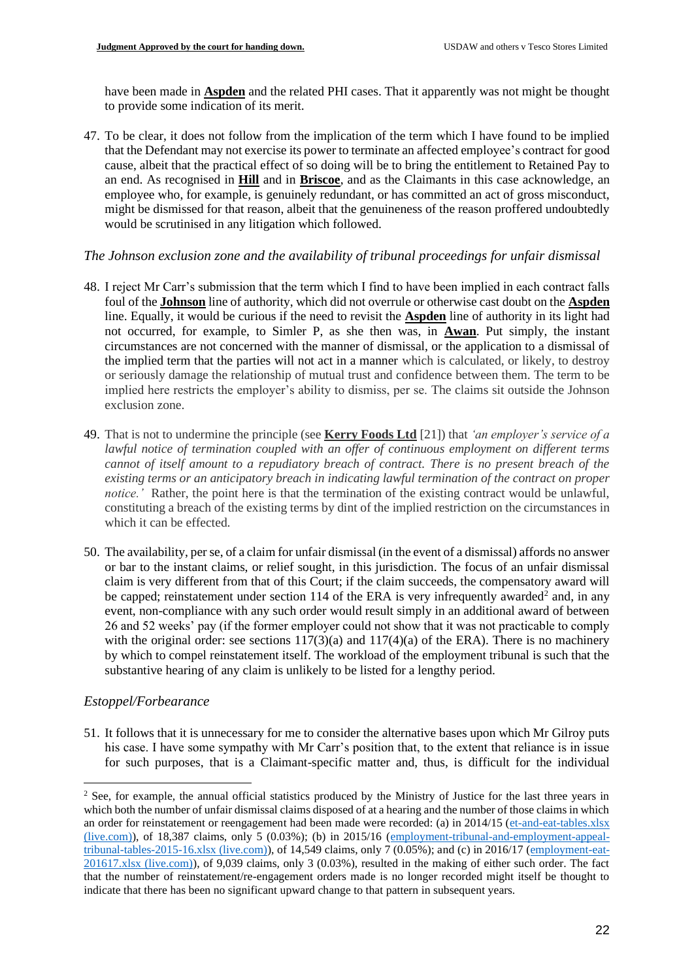have been made in **Aspden** and the related PHI cases. That it apparently was not might be thought to provide some indication of its merit.

47. To be clear, it does not follow from the implication of the term which I have found to be implied that the Defendant may not exercise its power to terminate an affected employee's contract for good cause, albeit that the practical effect of so doing will be to bring the entitlement to Retained Pay to an end. As recognised in **Hill** and in **Briscoe**, and as the Claimants in this case acknowledge, an employee who, for example, is genuinely redundant, or has committed an act of gross misconduct, might be dismissed for that reason, albeit that the genuineness of the reason proffered undoubtedly would be scrutinised in any litigation which followed.

# *The Johnson exclusion zone and the availability of tribunal proceedings for unfair dismissal*

- 48. I reject Mr Carr's submission that the term which I find to have been implied in each contract falls foul of the **Johnson** line of authority, which did not overrule or otherwise cast doubt on the **Aspden** line. Equally, it would be curious if the need to revisit the **Aspden** line of authority in its light had not occurred, for example, to Simler P, as she then was, in **Awan**. Put simply, the instant circumstances are not concerned with the manner of dismissal, or the application to a dismissal of the implied term that the parties will not act in a manner which is calculated, or likely, to destroy or seriously damage the relationship of mutual trust and confidence between them. The term to be implied here restricts the employer's ability to dismiss, per se. The claims sit outside the Johnson exclusion zone.
- 49. That is not to undermine the principle (see **Kerry Foods Ltd** [21]) that *'an employer's service of a lawful notice of termination coupled with an offer of continuous employment on different terms cannot of itself amount to a repudiatory breach of contract. There is no present breach of the existing terms or an anticipatory breach in indicating lawful termination of the contract on proper notice.'* Rather, the point here is that the termination of the existing contract would be unlawful, constituting a breach of the existing terms by dint of the implied restriction on the circumstances in which it can be effected.
- 50. The availability, per se, of a claim for unfair dismissal (in the event of a dismissal) affords no answer or bar to the instant claims, or relief sought, in this jurisdiction. The focus of an unfair dismissal claim is very different from that of this Court; if the claim succeeds, the compensatory award will be capped; reinstatement under section 114 of the ERA is very infrequently awarded<sup>2</sup> and, in any event, non-compliance with any such order would result simply in an additional award of between 26 and 52 weeks' pay (if the former employer could not show that it was not practicable to comply with the original order: see sections  $117(3)(a)$  and  $117(4)(a)$  of the ERA). There is no machinery by which to compel reinstatement itself. The workload of the employment tribunal is such that the substantive hearing of any claim is unlikely to be listed for a lengthy period.

# *Estoppel/Forbearance*

51. It follows that it is unnecessary for me to consider the alternative bases upon which Mr Gilroy puts his case. I have some sympathy with Mr Carr's position that, to the extent that reliance is in issue for such purposes, that is a Claimant-specific matter and, thus, is difficult for the individual

<sup>&</sup>lt;sup>2</sup> See, for example, the annual official statistics produced by the Ministry of Justice for the last three years in which both the number of unfair dismissal claims disposed of at a hearing and the number of those claims in which an order for reinstatement or reengagement had been made were recorded: (a) in 2014/15 [\(et-and-eat-tables.xlsx](https://view.officeapps.live.com/op/view.aspx?src=https%3A%2F%2Fassets.publishing.service.gov.uk%2Fgovernment%2Fuploads%2Fsystem%2Fuploads%2Fattachment_data%2Ffile%2F459587%2Fet-and-eat-tables.xlsx&wdOrigin=BROWSELINK)  [\(live.com\)\)](https://view.officeapps.live.com/op/view.aspx?src=https%3A%2F%2Fassets.publishing.service.gov.uk%2Fgovernment%2Fuploads%2Fsystem%2Fuploads%2Fattachment_data%2Ffile%2F459587%2Fet-and-eat-tables.xlsx&wdOrigin=BROWSELINK), of 18,387 claims, only 5 (0.03%); (b) in 2015/16 [\(employment-tribunal-and-employment-appeal](https://view.officeapps.live.com/op/view.aspx?src=https%3A%2F%2Fassets.publishing.service.gov.uk%2Fgovernment%2Fuploads%2Fsystem%2Fuploads%2Fattachment_data%2Ffile%2F550837%2Femployment-tribunal-and-employment-appeal-tribunal-tables-2015-16.xlsx&wdOrigin=BROWSELINK)[tribunal-tables-2015-16.xlsx \(live.com\)\)](https://view.officeapps.live.com/op/view.aspx?src=https%3A%2F%2Fassets.publishing.service.gov.uk%2Fgovernment%2Fuploads%2Fsystem%2Fuploads%2Fattachment_data%2Ffile%2F550837%2Femployment-tribunal-and-employment-appeal-tribunal-tables-2015-16.xlsx&wdOrigin=BROWSELINK), of 14,549 claims, only 7 (0.05%); and (c) in 2016/17 [\(employment-eat-](https://view.officeapps.live.com/op/view.aspx?src=https%3A%2F%2Fassets.publishing.service.gov.uk%2Fgovernment%2Fuploads%2Fsystem%2Fuploads%2Fattachment_data%2Ffile%2F644546%2Femployment-eat-201617.xlsx&wdOrigin=BROWSELINK)[201617.xlsx \(live.com\)\)](https://view.officeapps.live.com/op/view.aspx?src=https%3A%2F%2Fassets.publishing.service.gov.uk%2Fgovernment%2Fuploads%2Fsystem%2Fuploads%2Fattachment_data%2Ffile%2F644546%2Femployment-eat-201617.xlsx&wdOrigin=BROWSELINK), of 9,039 claims, only 3 (0.03%), resulted in the making of either such order. The fact that the number of reinstatement/re-engagement orders made is no longer recorded might itself be thought to indicate that there has been no significant upward change to that pattern in subsequent years.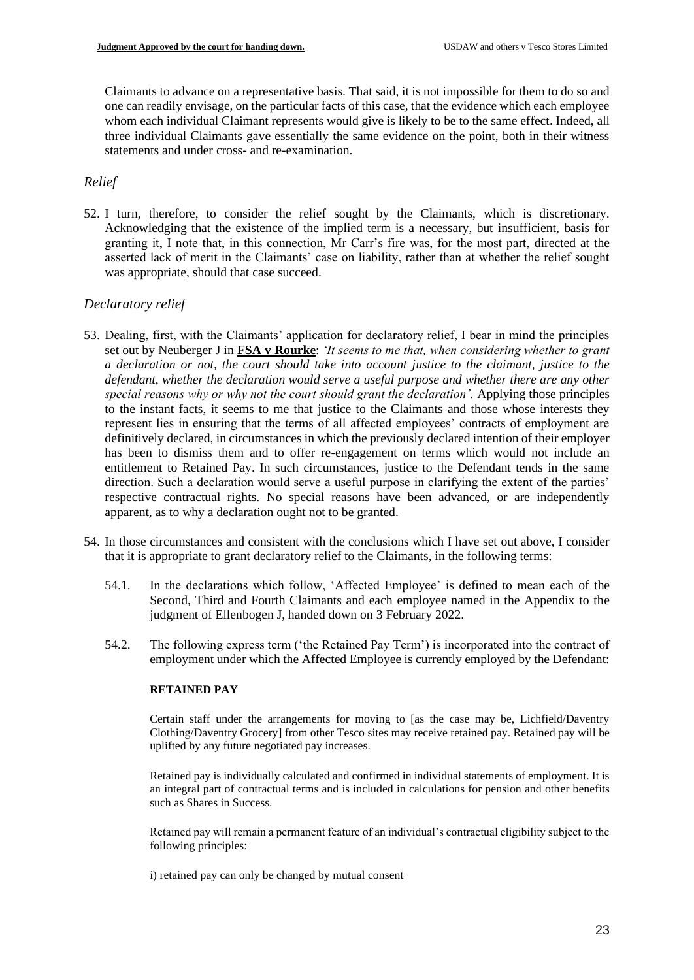Claimants to advance on a representative basis. That said, it is not impossible for them to do so and one can readily envisage, on the particular facts of this case, that the evidence which each employee whom each individual Claimant represents would give is likely to be to the same effect. Indeed, all three individual Claimants gave essentially the same evidence on the point, both in their witness statements and under cross- and re-examination.

# *Relief*

52. I turn, therefore, to consider the relief sought by the Claimants, which is discretionary. Acknowledging that the existence of the implied term is a necessary, but insufficient, basis for granting it, I note that, in this connection, Mr Carr's fire was, for the most part, directed at the asserted lack of merit in the Claimants' case on liability, rather than at whether the relief sought was appropriate, should that case succeed.

# *Declaratory relief*

- 53. Dealing, first, with the Claimants' application for declaratory relief, I bear in mind the principles set out by Neuberger J in **FSA v Rourke**: *'It seems to me that, when considering whether to grant a declaration or not, the court should take into account justice to the claimant, justice to the defendant, whether the declaration would serve a useful purpose and whether there are any other*  special reasons why or why not the court should grant the declaration'. Applying those principles to the instant facts, it seems to me that justice to the Claimants and those whose interests they represent lies in ensuring that the terms of all affected employees' contracts of employment are definitively declared, in circumstances in which the previously declared intention of their employer has been to dismiss them and to offer re-engagement on terms which would not include an entitlement to Retained Pay. In such circumstances, justice to the Defendant tends in the same direction. Such a declaration would serve a useful purpose in clarifying the extent of the parties' respective contractual rights. No special reasons have been advanced, or are independently apparent, as to why a declaration ought not to be granted.
- 54. In those circumstances and consistent with the conclusions which I have set out above, I consider that it is appropriate to grant declaratory relief to the Claimants, in the following terms:
	- 54.1. In the declarations which follow, 'Affected Employee' is defined to mean each of the Second, Third and Fourth Claimants and each employee named in the Appendix to the judgment of Ellenbogen J, handed down on 3 February 2022.
	- 54.2. The following express term ('the Retained Pay Term') is incorporated into the contract of employment under which the Affected Employee is currently employed by the Defendant:

## **RETAINED PAY**

Certain staff under the arrangements for moving to [as the case may be, Lichfield/Daventry Clothing/Daventry Grocery] from other Tesco sites may receive retained pay. Retained pay will be uplifted by any future negotiated pay increases.

Retained pay is individually calculated and confirmed in individual statements of employment. It is an integral part of contractual terms and is included in calculations for pension and other benefits such as Shares in Success.

Retained pay will remain a permanent feature of an individual's contractual eligibility subject to the following principles:

i) retained pay can only be changed by mutual consent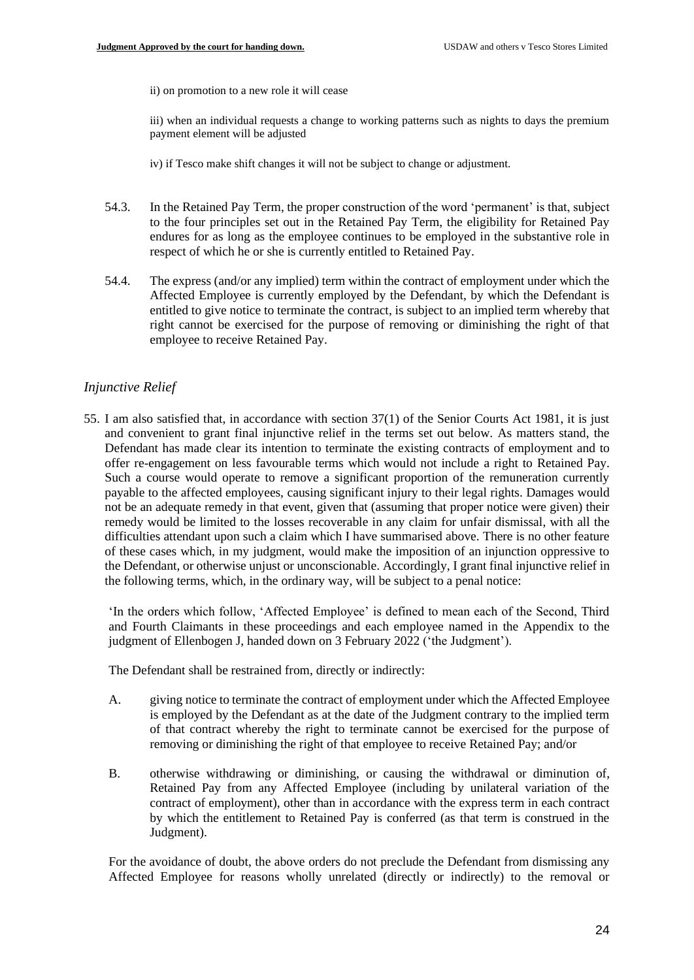ii) on promotion to a new role it will cease

iii) when an individual requests a change to working patterns such as nights to days the premium payment element will be adjusted

iv) if Tesco make shift changes it will not be subject to change or adjustment.

- 54.3. In the Retained Pay Term, the proper construction of the word 'permanent' is that, subject to the four principles set out in the Retained Pay Term, the eligibility for Retained Pay endures for as long as the employee continues to be employed in the substantive role in respect of which he or she is currently entitled to Retained Pay.
- 54.4. The express (and/or any implied) term within the contract of employment under which the Affected Employee is currently employed by the Defendant, by which the Defendant is entitled to give notice to terminate the contract, is subject to an implied term whereby that right cannot be exercised for the purpose of removing or diminishing the right of that employee to receive Retained Pay.

# *Injunctive Relief*

55. I am also satisfied that, in accordance with section 37(1) of the Senior Courts Act 1981, it is just and convenient to grant final injunctive relief in the terms set out below. As matters stand, the Defendant has made clear its intention to terminate the existing contracts of employment and to offer re-engagement on less favourable terms which would not include a right to Retained Pay. Such a course would operate to remove a significant proportion of the remuneration currently payable to the affected employees, causing significant injury to their legal rights. Damages would not be an adequate remedy in that event, given that (assuming that proper notice were given) their remedy would be limited to the losses recoverable in any claim for unfair dismissal, with all the difficulties attendant upon such a claim which I have summarised above. There is no other feature of these cases which, in my judgment, would make the imposition of an injunction oppressive to the Defendant, or otherwise unjust or unconscionable. Accordingly, I grant final injunctive relief in the following terms, which, in the ordinary way, will be subject to a penal notice:

'In the orders which follow, 'Affected Employee' is defined to mean each of the Second, Third and Fourth Claimants in these proceedings and each employee named in the Appendix to the judgment of Ellenbogen J, handed down on 3 February 2022 ('the Judgment').

The Defendant shall be restrained from, directly or indirectly:

- A. giving notice to terminate the contract of employment under which the Affected Employee is employed by the Defendant as at the date of the Judgment contrary to the implied term of that contract whereby the right to terminate cannot be exercised for the purpose of removing or diminishing the right of that employee to receive Retained Pay; and/or
- B. otherwise withdrawing or diminishing, or causing the withdrawal or diminution of, Retained Pay from any Affected Employee (including by unilateral variation of the contract of employment), other than in accordance with the express term in each contract by which the entitlement to Retained Pay is conferred (as that term is construed in the Judgment).

For the avoidance of doubt, the above orders do not preclude the Defendant from dismissing any Affected Employee for reasons wholly unrelated (directly or indirectly) to the removal or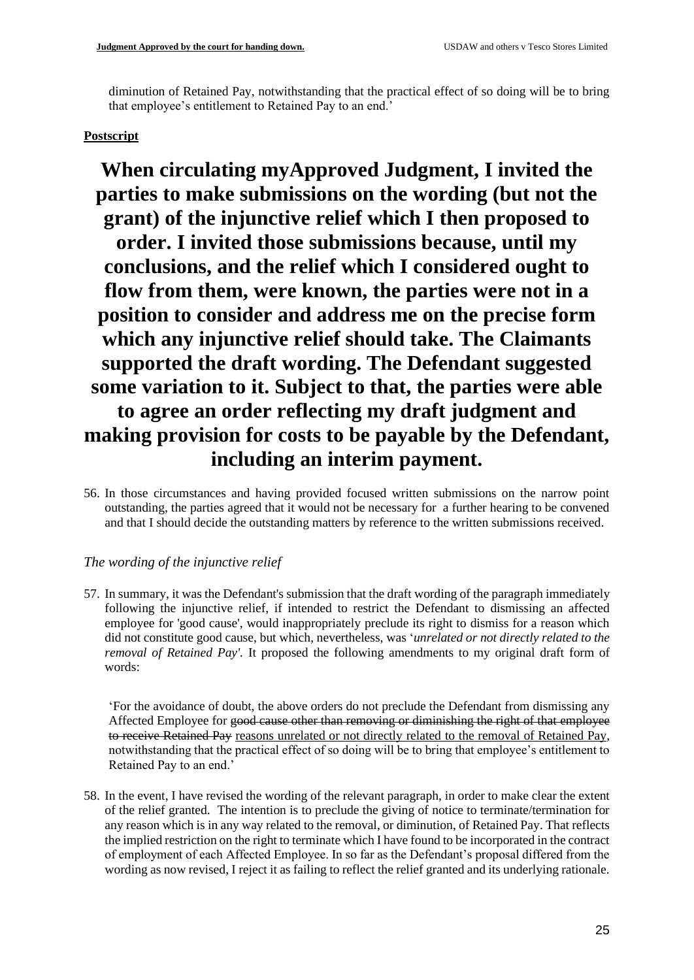diminution of Retained Pay, notwithstanding that the practical effect of so doing will be to bring that employee's entitlement to Retained Pay to an end.'

# **Postscript**

**When circulating myApproved Judgment, I invited the parties to make submissions on the wording (but not the grant) of the injunctive relief which I then proposed to order. I invited those submissions because, until my conclusions, and the relief which I considered ought to flow from them, were known, the parties were not in a position to consider and address me on the precise form which any injunctive relief should take. The Claimants supported the draft wording. The Defendant suggested some variation to it. Subject to that, the parties were able to agree an order reflecting my draft judgment and making provision for costs to be payable by the Defendant, including an interim payment.**

56. In those circumstances and having provided focused written submissions on the narrow point outstanding, the parties agreed that it would not be necessary for a further hearing to be convened and that I should decide the outstanding matters by reference to the written submissions received.

# *The wording of the injunctive relief*

57. In summary, it was the Defendant's submission that the draft wording of the paragraph immediately following the injunctive relief, if intended to restrict the Defendant to dismissing an affected employee for 'good cause', would inappropriately preclude its right to dismiss for a reason which did not constitute good cause, but which, nevertheless, was '*unrelated or not directly related to the removal of Retained Pay'.* It proposed the following amendments to my original draft form of words:

'For the avoidance of doubt, the above orders do not preclude the Defendant from dismissing any Affected Employee for good cause other than removing or diminishing the right of that employee to receive Retained Pay reasons unrelated or not directly related to the removal of Retained Pay, notwithstanding that the practical effect of so doing will be to bring that employee's entitlement to Retained Pay to an end.'

58. In the event, I have revised the wording of the relevant paragraph, in order to make clear the extent of the relief granted. The intention is to preclude the giving of notice to terminate/termination for any reason which is in any way related to the removal, or diminution, of Retained Pay. That reflects the implied restriction on the right to terminate which I have found to be incorporated in the contract of employment of each Affected Employee. In so far as the Defendant's proposal differed from the wording as now revised, I reject it as failing to reflect the relief granted and its underlying rationale.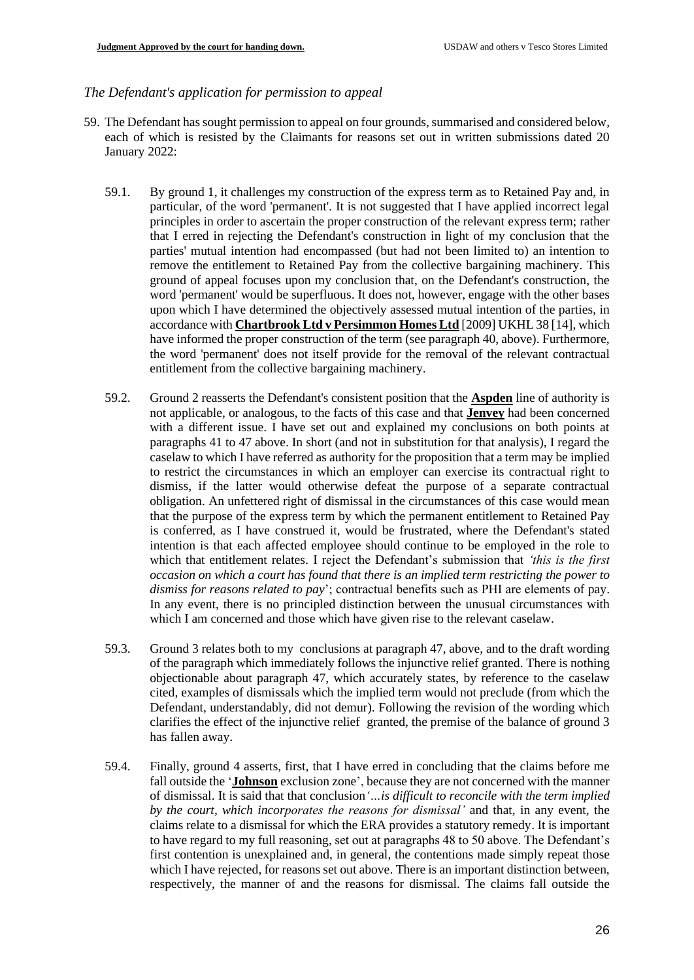## *The Defendant's application for permission to appeal*

- 59. The Defendant has sought permission to appeal on four grounds, summarised and considered below, each of which is resisted by the Claimants for reasons set out in written submissions dated 20 January 2022:
	- 59.1. By ground 1, it challenges my construction of the express term as to Retained Pay and, in particular, of the word 'permanent'. It is not suggested that I have applied incorrect legal principles in order to ascertain the proper construction of the relevant express term; rather that I erred in rejecting the Defendant's construction in light of my conclusion that the parties' mutual intention had encompassed (but had not been limited to) an intention to remove the entitlement to Retained Pay from the collective bargaining machinery. This ground of appeal focuses upon my conclusion that, on the Defendant's construction, the word 'permanent' would be superfluous. It does not, however, engage with the other bases upon which I have determined the objectively assessed mutual intention of the parties, in accordance with **Chartbrook Ltd v Persimmon Homes Ltd** [2009] UKHL 38 [14], which have informed the proper construction of the term (see paragraph 40, above). Furthermore, the word 'permanent' does not itself provide for the removal of the relevant contractual entitlement from the collective bargaining machinery.
	- 59.2. Ground 2 reasserts the Defendant's consistent position that the **Aspden** line of authority is not applicable, or analogous, to the facts of this case and that **Jenvey** had been concerned with a different issue. I have set out and explained my conclusions on both points at paragraphs 41 to 47 above. In short (and not in substitution for that analysis), I regard the caselaw to which I have referred as authority for the proposition that a term may be implied to restrict the circumstances in which an employer can exercise its contractual right to dismiss, if the latter would otherwise defeat the purpose of a separate contractual obligation. An unfettered right of dismissal in the circumstances of this case would mean that the purpose of the express term by which the permanent entitlement to Retained Pay is conferred, as I have construed it, would be frustrated, where the Defendant's stated intention is that each affected employee should continue to be employed in the role to which that entitlement relates. I reject the Defendant's submission that *'this is the first occasion on which a court has found that there is an implied term restricting the power to dismiss for reasons related to pay*'; contractual benefits such as PHI are elements of pay. In any event, there is no principled distinction between the unusual circumstances with which I am concerned and those which have given rise to the relevant caselaw.
	- 59.3. Ground 3 relates both to my conclusions at paragraph 47, above, and to the draft wording of the paragraph which immediately follows the injunctive relief granted. There is nothing objectionable about paragraph 47, which accurately states, by reference to the caselaw cited, examples of dismissals which the implied term would not preclude (from which the Defendant, understandably, did not demur). Following the revision of the wording which clarifies the effect of the injunctive relief granted, the premise of the balance of ground 3 has fallen away.
	- 59.4. Finally, ground 4 asserts, first, that I have erred in concluding that the claims before me fall outside the '**Johnson** exclusion zone', because they are not concerned with the manner of dismissal. It is said that that conclusion*'…is difficult to reconcile with the term implied by the court, which incorporates the reasons for dismissal'* and that, in any event, the claims relate to a dismissal for which the ERA provides a statutory remedy. It is important to have regard to my full reasoning, set out at paragraphs 48 to 50 above. The Defendant's first contention is unexplained and, in general, the contentions made simply repeat those which I have rejected, for reasons set out above. There is an important distinction between, respectively, the manner of and the reasons for dismissal. The claims fall outside the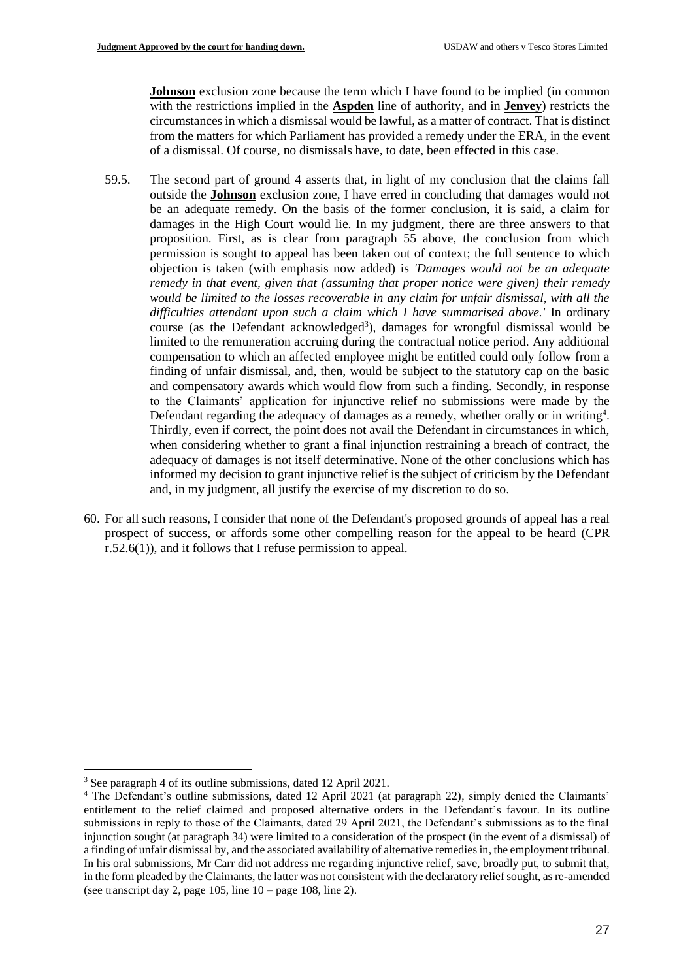**Johnson** exclusion zone because the term which I have found to be implied (in common with the restrictions implied in the **Aspden** line of authority, and in **Jenvey**) restricts the circumstances in which a dismissal would be lawful, as a matter of contract. That is distinct from the matters for which Parliament has provided a remedy under the ERA, in the event of a dismissal. Of course, no dismissals have, to date, been effected in this case.

- 59.5. The second part of ground 4 asserts that, in light of my conclusion that the claims fall outside the **Johnson** exclusion zone, I have erred in concluding that damages would not be an adequate remedy. On the basis of the former conclusion, it is said, a claim for damages in the High Court would lie. In my judgment, there are three answers to that proposition. First, as is clear from paragraph 55 above, the conclusion from which permission is sought to appeal has been taken out of context; the full sentence to which objection is taken (with emphasis now added) is *'Damages would not be an adequate remedy in that event, given that (assuming that proper notice were given) their remedy would be limited to the losses recoverable in any claim for unfair dismissal, with all the difficulties attendant upon such a claim which I have summarised above.'* In ordinary course (as the Defendant acknowledged<sup>3</sup>), damages for wrongful dismissal would be limited to the remuneration accruing during the contractual notice period. Any additional compensation to which an affected employee might be entitled could only follow from a finding of unfair dismissal, and, then, would be subject to the statutory cap on the basic and compensatory awards which would flow from such a finding. Secondly, in response to the Claimants' application for injunctive relief no submissions were made by the Defendant regarding the adequacy of damages as a remedy, whether orally or in writing<sup>4</sup>. Thirdly, even if correct, the point does not avail the Defendant in circumstances in which, when considering whether to grant a final injunction restraining a breach of contract, the adequacy of damages is not itself determinative. None of the other conclusions which has informed my decision to grant injunctive relief is the subject of criticism by the Defendant and, in my judgment, all justify the exercise of my discretion to do so.
- 60. For all such reasons, I consider that none of the Defendant's proposed grounds of appeal has a real prospect of success, or affords some other compelling reason for the appeal to be heard (CPR r.52.6(1)), and it follows that I refuse permission to appeal.

<sup>3</sup> See paragraph 4 of its outline submissions, dated 12 April 2021.

<sup>&</sup>lt;sup>4</sup> The Defendant's outline submissions, dated 12 April 2021 (at paragraph 22), simply denied the Claimants' entitlement to the relief claimed and proposed alternative orders in the Defendant's favour. In its outline submissions in reply to those of the Claimants, dated 29 April 2021, the Defendant's submissions as to the final injunction sought (at paragraph 34) were limited to a consideration of the prospect (in the event of a dismissal) of a finding of unfair dismissal by, and the associated availability of alternative remedies in, the employment tribunal. In his oral submissions, Mr Carr did not address me regarding injunctive relief, save, broadly put, to submit that, in the form pleaded by the Claimants, the latter was not consistent with the declaratory relief sought, as re-amended (see transcript day 2, page 105, line  $10 - \text{page 108}$ , line 2).